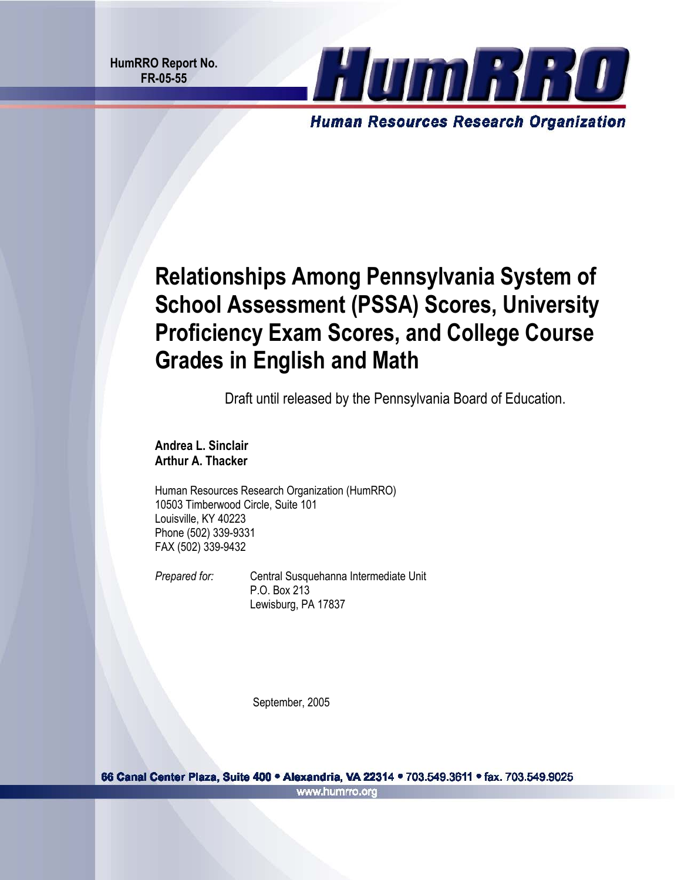**HumRRO Report No. FR-05-55** 



# **Relationships Among Pennsylvania System of School Assessment (PSSA) Scores, University Proficiency Exam Scores, and College Course Grades in English and Math**

Draft until released by the Pennsylvania Board of Education.

**Andrea L. Sinclair Arthur A. Thacker** 

Human Resources Research Organization (HumRRO) 10503 Timberwood Circle, Suite 101 Louisville, KY 40223 Phone (502) 339-9331 FAX (502) 339-9432

**Prepared for:** Central Susquehanna Intermediate Unit P.O. Box 213 Lewisburg, PA 17837

September, 2005

66 Canal Center Plaza, Suite 400 · Alexandria, VA 22314 · 703.549.3611 · fax. 703.549.9025 www.humrro.org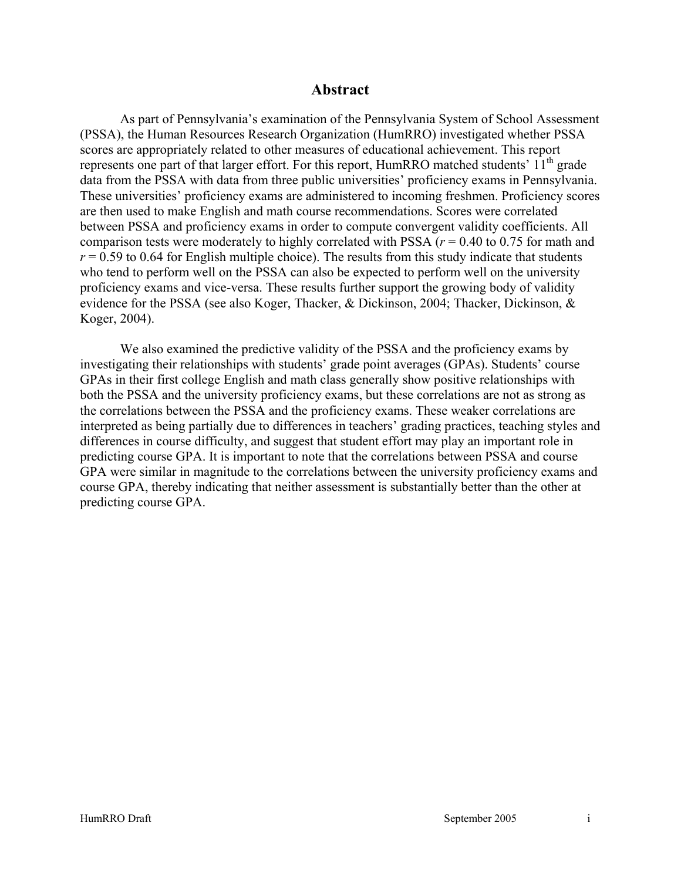#### **Abstract**

As part of Pennsylvania's examination of the Pennsylvania System of School Assessment (PSSA), the Human Resources Research Organization (HumRRO) investigated whether PSSA scores are appropriately related to other measures of educational achievement. This report represents one part of that larger effort. For this report, HumRRO matched students'  $11<sup>th</sup>$  grade data from the PSSA with data from three public universities' proficiency exams in Pennsylvania. These universities' proficiency exams are administered to incoming freshmen. Proficiency scores are then used to make English and math course recommendations. Scores were correlated between PSSA and proficiency exams in order to compute convergent validity coefficients. All comparison tests were moderately to highly correlated with PSSA (*r* = 0.40 to 0.75 for math and  $r = 0.59$  to 0.64 for English multiple choice). The results from this study indicate that students who tend to perform well on the PSSA can also be expected to perform well on the university proficiency exams and vice-versa. These results further support the growing body of validity evidence for the PSSA (see also Koger, Thacker, & Dickinson, 2004; Thacker, Dickinson, & Koger, 2004).

We also examined the predictive validity of the PSSA and the proficiency exams by investigating their relationships with students' grade point averages (GPAs). Students' course GPAs in their first college English and math class generally show positive relationships with both the PSSA and the university proficiency exams, but these correlations are not as strong as the correlations between the PSSA and the proficiency exams. These weaker correlations are interpreted as being partially due to differences in teachers' grading practices, teaching styles and differences in course difficulty, and suggest that student effort may play an important role in predicting course GPA. It is important to note that the correlations between PSSA and course GPA were similar in magnitude to the correlations between the university proficiency exams and course GPA, thereby indicating that neither assessment is substantially better than the other at predicting course GPA.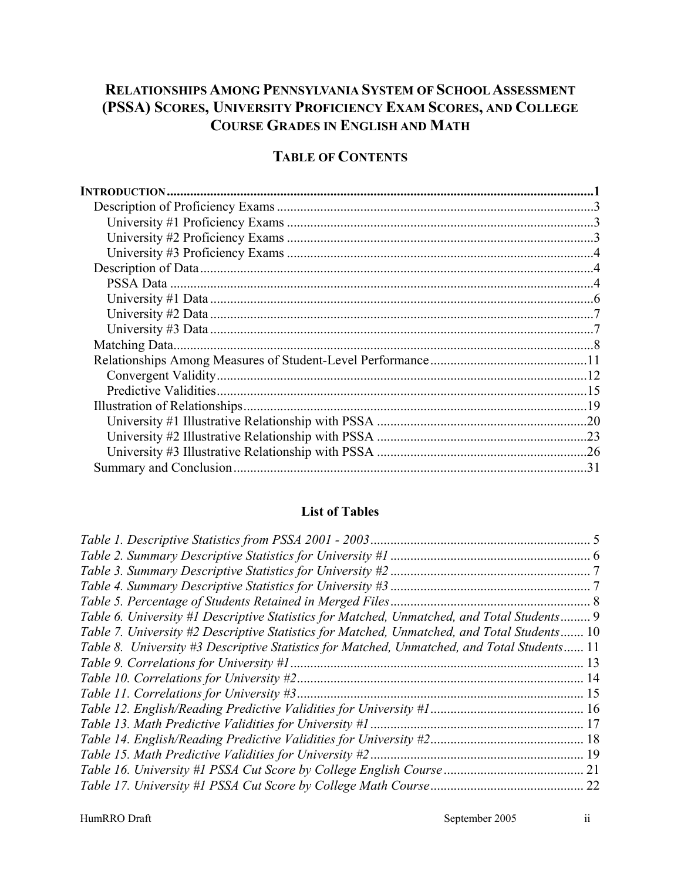# **RELATIONSHIPS AMONG PENNSYLVANIA SYSTEM OF SCHOOL ASSESSMENT (PSSA) SCORES, UNIVERSITY PROFICIENCY EXAM SCORES, AND COLLEGE COURSE GRADES IN ENGLISH AND MATH**

# **TABLE OF CONTENTS**

| 31 |
|----|
|    |

#### **List of Tables**

| Table 5. Percentage of Students Retained in Merged Files                                    |     |
|---------------------------------------------------------------------------------------------|-----|
| Table 6. University #1 Descriptive Statistics for Matched, Unmatched, and Total Students 9  |     |
| Table 7. University #2 Descriptive Statistics for Matched, Unmatched, and Total Students 10 |     |
| Table 8. University #3 Descriptive Statistics for Matched, Unmatched, and Total Students 11 |     |
|                                                                                             | 13  |
|                                                                                             |     |
|                                                                                             | -15 |
|                                                                                             |     |
|                                                                                             |     |
|                                                                                             |     |
| Table 15. Math Predictive Validities for University #2.                                     |     |
|                                                                                             |     |
|                                                                                             |     |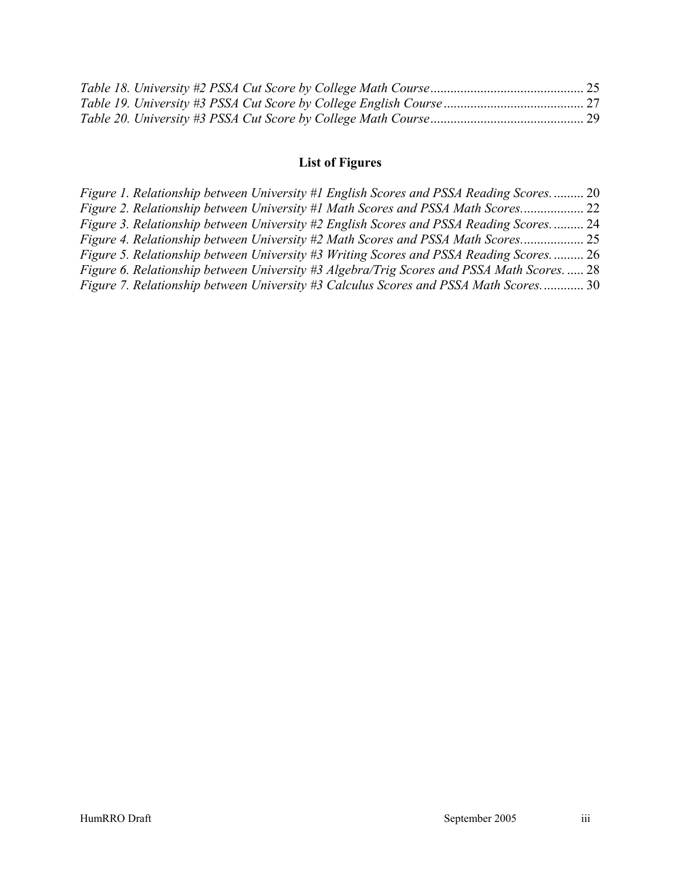# **List of Figures**

|  |  | Figure 1. Relationship between University #1 English Scores and PSSA Reading Scores 20     |  |
|--|--|--------------------------------------------------------------------------------------------|--|
|  |  | Figure 2. Relationship between University #1 Math Scores and PSSA Math Scores<br>. 22      |  |
|  |  | Figure 3. Relationship between University #2 English Scores and PSSA Reading Scores 24     |  |
|  |  | Figure 4. Relationship between University #2 Math Scores and PSSA Math Scores              |  |
|  |  | Figure 5. Relationship between University #3 Writing Scores and PSSA Reading Scores 26     |  |
|  |  | Figure 6. Relationship between University #3 Algebra/Trig Scores and PSSA Math Scores.  28 |  |
|  |  | Figure 7. Relationship between University #3 Calculus Scores and PSSA Math Scores 30       |  |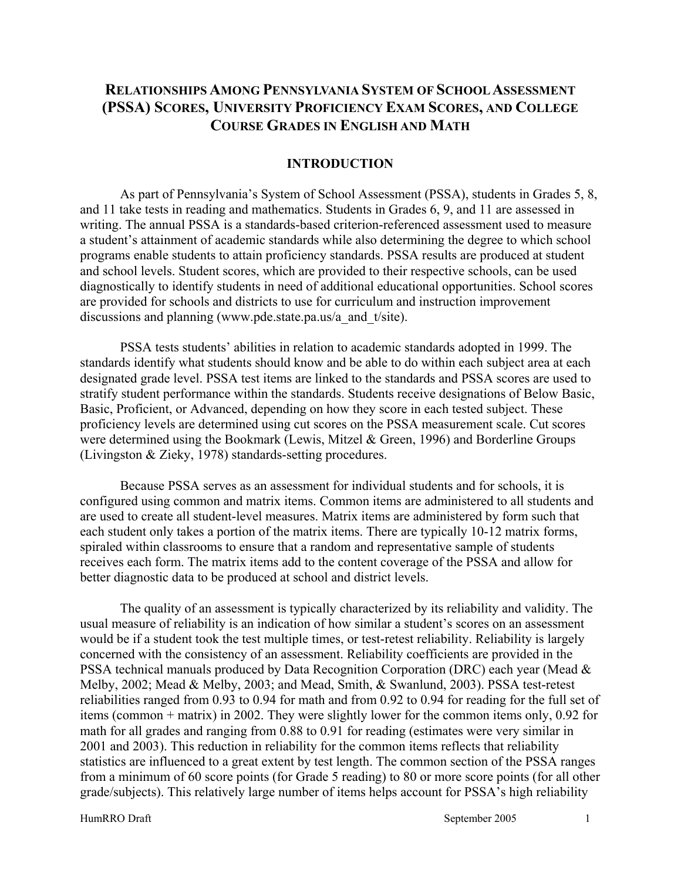# **RELATIONSHIPS AMONG PENNSYLVANIA SYSTEM OF SCHOOL ASSESSMENT (PSSA) SCORES, UNIVERSITY PROFICIENCY EXAM SCORES, AND COLLEGE COURSE GRADES IN ENGLISH AND MATH**

#### **INTRODUCTION**

As part of Pennsylvania's System of School Assessment (PSSA), students in Grades 5, 8, and 11 take tests in reading and mathematics. Students in Grades 6, 9, and 11 are assessed in writing. The annual PSSA is a standards-based criterion-referenced assessment used to measure a student's attainment of academic standards while also determining the degree to which school programs enable students to attain proficiency standards. PSSA results are produced at student and school levels. Student scores, which are provided to their respective schools, can be used diagnostically to identify students in need of additional educational opportunities. School scores are provided for schools and districts to use for curriculum and instruction improvement discussions and planning (www.pde.state.pa.us/a and t/site).

PSSA tests students' abilities in relation to academic standards adopted in 1999. The standards identify what students should know and be able to do within each subject area at each designated grade level. PSSA test items are linked to the standards and PSSA scores are used to stratify student performance within the standards. Students receive designations of Below Basic, Basic, Proficient, or Advanced, depending on how they score in each tested subject. These proficiency levels are determined using cut scores on the PSSA measurement scale. Cut scores were determined using the Bookmark (Lewis, Mitzel & Green, 1996) and Borderline Groups (Livingston & Zieky, 1978) standards-setting procedures.

Because PSSA serves as an assessment for individual students and for schools, it is configured using common and matrix items. Common items are administered to all students and are used to create all student-level measures. Matrix items are administered by form such that each student only takes a portion of the matrix items. There are typically 10-12 matrix forms, spiraled within classrooms to ensure that a random and representative sample of students receives each form. The matrix items add to the content coverage of the PSSA and allow for better diagnostic data to be produced at school and district levels.

The quality of an assessment is typically characterized by its reliability and validity. The usual measure of reliability is an indication of how similar a student's scores on an assessment would be if a student took the test multiple times, or test-retest reliability. Reliability is largely concerned with the consistency of an assessment. Reliability coefficients are provided in the PSSA technical manuals produced by Data Recognition Corporation (DRC) each year (Mead & Melby, 2002; Mead & Melby, 2003; and Mead, Smith, & Swanlund, 2003). PSSA test-retest reliabilities ranged from 0.93 to 0.94 for math and from 0.92 to 0.94 for reading for the full set of items (common + matrix) in 2002. They were slightly lower for the common items only, 0.92 for math for all grades and ranging from 0.88 to 0.91 for reading (estimates were very similar in 2001 and 2003). This reduction in reliability for the common items reflects that reliability statistics are influenced to a great extent by test length. The common section of the PSSA ranges from a minimum of 60 score points (for Grade 5 reading) to 80 or more score points (for all other grade/subjects). This relatively large number of items helps account for PSSA's high reliability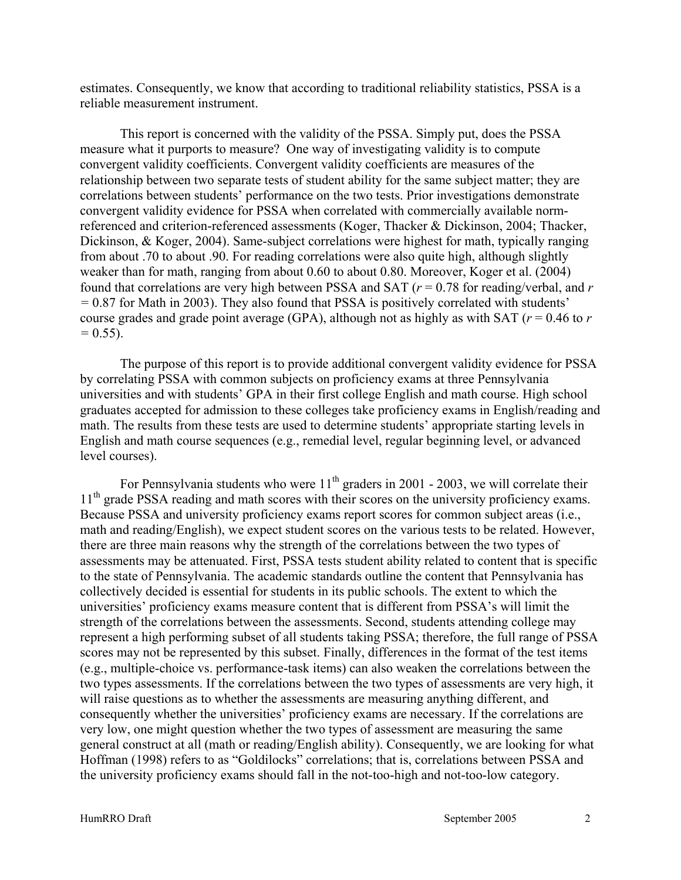estimates. Consequently, we know that according to traditional reliability statistics, PSSA is a reliable measurement instrument.

This report is concerned with the validity of the PSSA. Simply put, does the PSSA measure what it purports to measure? One way of investigating validity is to compute convergent validity coefficients. Convergent validity coefficients are measures of the relationship between two separate tests of student ability for the same subject matter; they are correlations between students' performance on the two tests. Prior investigations demonstrate convergent validity evidence for PSSA when correlated with commercially available normreferenced and criterion-referenced assessments (Koger, Thacker & Dickinson, 2004; Thacker, Dickinson, & Koger, 2004). Same-subject correlations were highest for math, typically ranging from about .70 to about .90. For reading correlations were also quite high, although slightly weaker than for math, ranging from about 0.60 to about 0.80. Moreover, Koger et al. (2004) found that correlations are very high between PSSA and SAT (*r* = 0.78 for reading/verbal, and *r =* 0.87 for Math in 2003). They also found that PSSA is positively correlated with students' course grades and grade point average (GPA), although not as highly as with SAT (*r* = 0.46 to *r*   $= 0.55$ ).

The purpose of this report is to provide additional convergent validity evidence for PSSA by correlating PSSA with common subjects on proficiency exams at three Pennsylvania universities and with students' GPA in their first college English and math course. High school graduates accepted for admission to these colleges take proficiency exams in English/reading and math. The results from these tests are used to determine students' appropriate starting levels in English and math course sequences (e.g., remedial level, regular beginning level, or advanced level courses).

For Pennsylvania students who were  $11<sup>th</sup>$  graders in 2001 - 2003, we will correlate their 11<sup>th</sup> grade PSSA reading and math scores with their scores on the university proficiency exams. Because PSSA and university proficiency exams report scores for common subject areas (i.e., math and reading/English), we expect student scores on the various tests to be related. However, there are three main reasons why the strength of the correlations between the two types of assessments may be attenuated. First, PSSA tests student ability related to content that is specific to the state of Pennsylvania. The academic standards outline the content that Pennsylvania has collectively decided is essential for students in its public schools. The extent to which the universities' proficiency exams measure content that is different from PSSA's will limit the strength of the correlations between the assessments. Second, students attending college may represent a high performing subset of all students taking PSSA; therefore, the full range of PSSA scores may not be represented by this subset. Finally, differences in the format of the test items (e.g., multiple-choice vs. performance-task items) can also weaken the correlations between the two types assessments. If the correlations between the two types of assessments are very high, it will raise questions as to whether the assessments are measuring anything different, and consequently whether the universities' proficiency exams are necessary. If the correlations are very low, one might question whether the two types of assessment are measuring the same general construct at all (math or reading/English ability). Consequently, we are looking for what Hoffman (1998) refers to as "Goldilocks" correlations; that is, correlations between PSSA and the university proficiency exams should fall in the not-too-high and not-too-low category.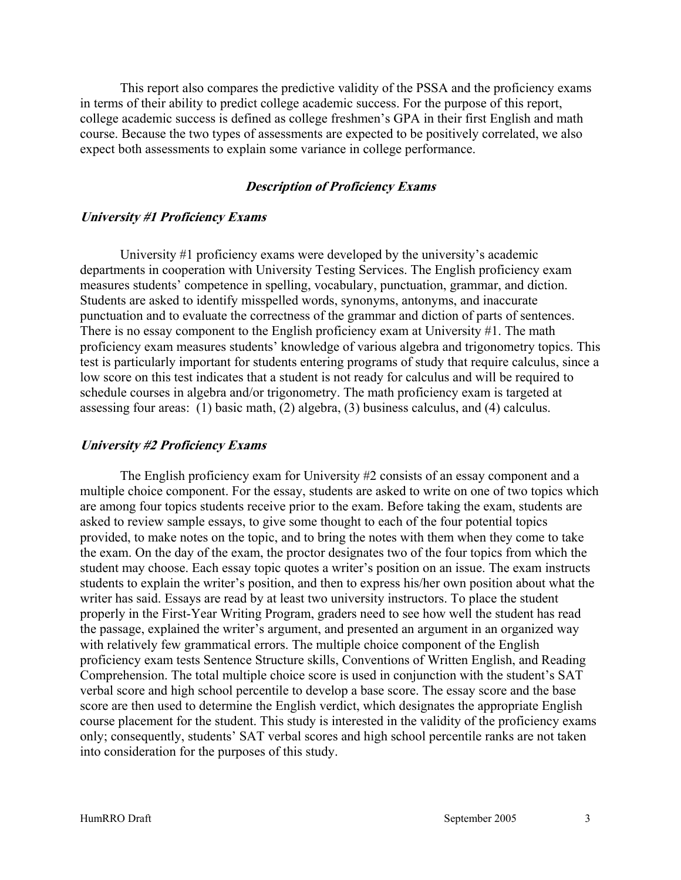This report also compares the predictive validity of the PSSA and the proficiency exams in terms of their ability to predict college academic success. For the purpose of this report, college academic success is defined as college freshmen's GPA in their first English and math course. Because the two types of assessments are expected to be positively correlated, we also expect both assessments to explain some variance in college performance.

#### **Description of Proficiency Exams**

#### **University #1 Proficiency Exams**

University #1 proficiency exams were developed by the university's academic departments in cooperation with University Testing Services. The English proficiency exam measures students' competence in spelling, vocabulary, punctuation, grammar, and diction. Students are asked to identify misspelled words, synonyms, antonyms, and inaccurate punctuation and to evaluate the correctness of the grammar and diction of parts of sentences. There is no essay component to the English proficiency exam at University #1. The math proficiency exam measures students' knowledge of various algebra and trigonometry topics. This test is particularly important for students entering programs of study that require calculus, since a low score on this test indicates that a student is not ready for calculus and will be required to schedule courses in algebra and/or trigonometry. The math proficiency exam is targeted at assessing four areas: (1) basic math, (2) algebra, (3) business calculus, and (4) calculus.

#### **University #2 Proficiency Exams**

The English proficiency exam for University #2 consists of an essay component and a multiple choice component. For the essay, students are asked to write on one of two topics which are among four topics students receive prior to the exam. Before taking the exam, students are asked to review sample essays, to give some thought to each of the four potential topics provided, to make notes on the topic, and to bring the notes with them when they come to take the exam. On the day of the exam, the proctor designates two of the four topics from which the student may choose. Each essay topic quotes a writer's position on an issue. The exam instructs students to explain the writer's position, and then to express his/her own position about what the writer has said. Essays are read by at least two university instructors. To place the student properly in the First-Year Writing Program, graders need to see how well the student has read the passage, explained the writer's argument, and presented an argument in an organized way with relatively few grammatical errors. The multiple choice component of the English proficiency exam tests Sentence Structure skills, Conventions of Written English, and Reading Comprehension. The total multiple choice score is used in conjunction with the student's SAT verbal score and high school percentile to develop a base score. The essay score and the base score are then used to determine the English verdict, which designates the appropriate English course placement for the student. This study is interested in the validity of the proficiency exams only; consequently, students' SAT verbal scores and high school percentile ranks are not taken into consideration for the purposes of this study.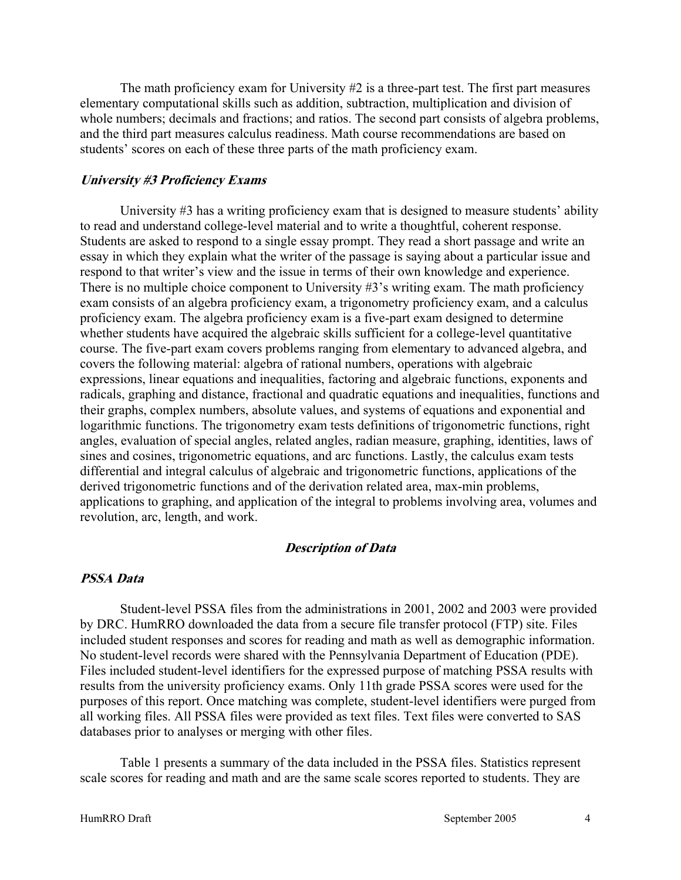The math proficiency exam for University  $#2$  is a three-part test. The first part measures elementary computational skills such as addition, subtraction, multiplication and division of whole numbers; decimals and fractions; and ratios. The second part consists of algebra problems, and the third part measures calculus readiness. Math course recommendations are based on students' scores on each of these three parts of the math proficiency exam.

#### **University #3 Proficiency Exams**

University #3 has a writing proficiency exam that is designed to measure students' ability to read and understand college-level material and to write a thoughtful, coherent response. Students are asked to respond to a single essay prompt. They read a short passage and write an essay in which they explain what the writer of the passage is saying about a particular issue and respond to that writer's view and the issue in terms of their own knowledge and experience. There is no multiple choice component to University #3's writing exam. The math proficiency exam consists of an algebra proficiency exam, a trigonometry proficiency exam, and a calculus proficiency exam. The algebra proficiency exam is a five-part exam designed to determine whether students have acquired the algebraic skills sufficient for a college-level quantitative course. The five-part exam covers problems ranging from elementary to advanced algebra, and covers the following material: algebra of rational numbers, operations with algebraic expressions, linear equations and inequalities, factoring and algebraic functions, exponents and radicals, graphing and distance, fractional and quadratic equations and inequalities, functions and their graphs, complex numbers, absolute values, and systems of equations and exponential and logarithmic functions. The trigonometry exam tests definitions of trigonometric functions, right angles, evaluation of special angles, related angles, radian measure, graphing, identities, laws of sines and cosines, trigonometric equations, and arc functions. Lastly, the calculus exam tests differential and integral calculus of algebraic and trigonometric functions, applications of the derived trigonometric functions and of the derivation related area, max-min problems, applications to graphing, and application of the integral to problems involving area, volumes and revolution, arc, length, and work.

#### **Description of Data**

#### **PSSA Data**

Student-level PSSA files from the administrations in 2001, 2002 and 2003 were provided by DRC. HumRRO downloaded the data from a secure file transfer protocol (FTP) site. Files included student responses and scores for reading and math as well as demographic information. No student-level records were shared with the Pennsylvania Department of Education (PDE). Files included student-level identifiers for the expressed purpose of matching PSSA results with results from the university proficiency exams. Only 11th grade PSSA scores were used for the purposes of this report. Once matching was complete, student-level identifiers were purged from all working files. All PSSA files were provided as text files. Text files were converted to SAS databases prior to analyses or merging with other files.

Table 1 presents a summary of the data included in the PSSA files. Statistics represent scale scores for reading and math and are the same scale scores reported to students. They are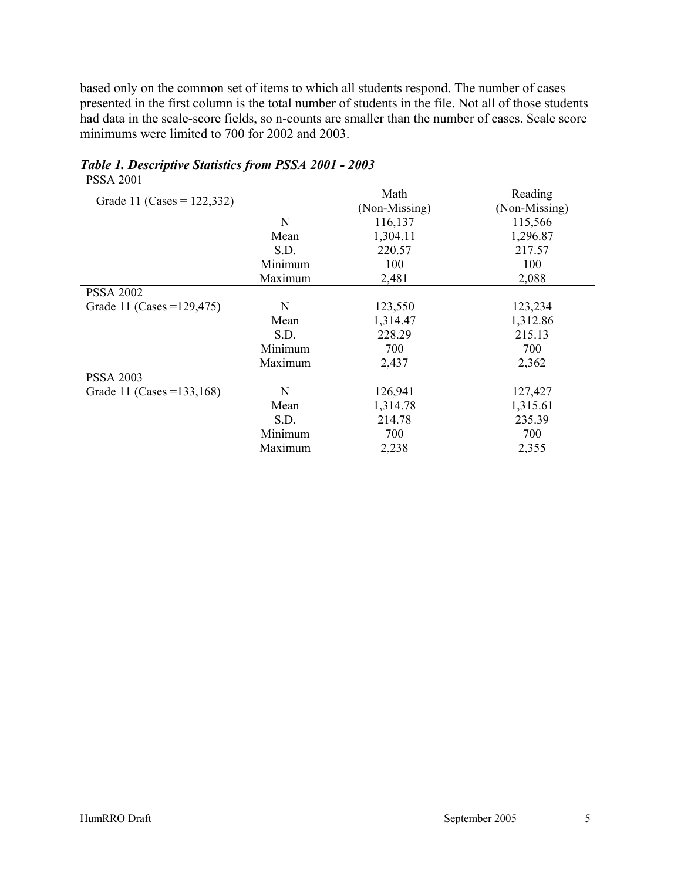based only on the common set of items to which all students respond. The number of cases presented in the first column is the total number of students in the file. Not all of those students had data in the scale-score fields, so n-counts are smaller than the number of cases. Scale score minimums were limited to 700 for 2002 and 2003.

| <b>PSSA 2001</b>              |         |                       |                          |
|-------------------------------|---------|-----------------------|--------------------------|
| Grade 11 (Cases = $122,332$ ) |         | Math<br>(Non-Missing) | Reading<br>(Non-Missing) |
|                               | N       | 116,137               | 115,566                  |
|                               | Mean    | 1,304.11              | 1,296.87                 |
|                               | S.D.    | 220.57                | 217.57                   |
|                               | Minimum | 100                   | 100                      |
|                               | Maximum | 2,481                 | 2,088                    |
| <b>PSSA 2002</b>              |         |                       |                          |
| Grade 11 (Cases = $129,475$ ) | N       | 123,550               | 123,234                  |
|                               | Mean    | 1,314.47              | 1,312.86                 |
|                               | S.D.    | 228.29                | 215.13                   |
|                               | Minimum | 700                   | 700                      |
|                               | Maximum | 2,437                 | 2,362                    |
| <b>PSSA 2003</b>              |         |                       |                          |
| Grade 11 (Cases = 133, 168)   | N       | 126,941               | 127,427                  |
|                               | Mean    | 1,314.78              | 1,315.61                 |
|                               | S.D.    | 214.78                | 235.39                   |
|                               | Minimum | 700                   | 700                      |
|                               | Maximum | 2,238                 | 2,355                    |

#### *Table 1. Descriptive Statistics from PSSA 2001 - 2003*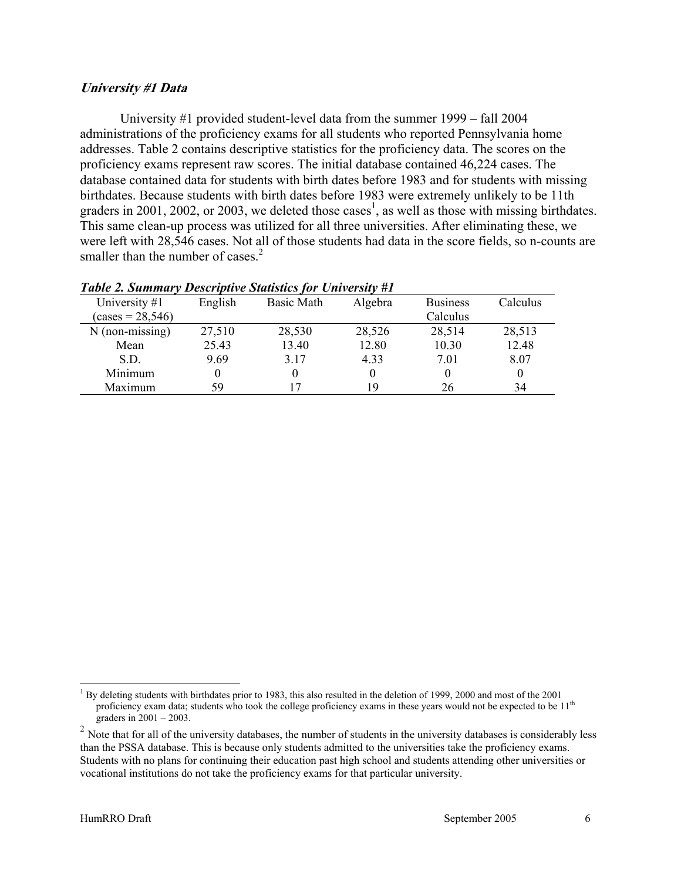#### **University #1 Data**

smaller than the number of cases.<sup>2</sup> University #1 provided student-level data from the summer 1999 – fall 2004 administrations of the proficiency exams for all students who reported Pennsylvania home addresses. Table 2 contains descriptive statistics for the proficiency data. The scores on the proficiency exams represent raw scores. The initial database contained 46,224 cases. The database contained data for students with birth dates before 1983 and for students with missing birthdates. Because students with birth dates before 1983 were extremely unlikely to be 11th graders in 2001, 2002, or 2003, we deleted those cases<sup>1</sup>, as well as those with missing birthdates. This same clean-up process was utilized for all three universities. After eliminating these, we were left with 28,546 cases. Not all of those students had data in the score fields, so n-counts are

| University #1      | English | <b>Basic Math</b> | Algebra  | <b>Business</b> | Calculus |
|--------------------|---------|-------------------|----------|-----------------|----------|
| $(cases = 28,546)$ |         |                   |          | Calculus        |          |
| $N$ (non-missing)  | 27,510  | 28,530            | 28,526   | 28,514          | 28,513   |
| Mean               | 25.43   | 13.40             | 12.80    | 10.30           | 12.48    |
| S.D.               | 9.69    | 3.17              | 4.33     | 7.01            | 8.07     |
| Minimum            |         | 0                 | $\theta$ |                 | $\theta$ |
| Maximum            | 59      | 17                | 19       | 26              | 34       |
|                    |         |                   |          |                 |          |

#### *Table 2. Summary Descriptive Statistics for University #1*

 $\overline{a}$ 

<sup>&</sup>lt;sup>1</sup> By deleting students with birthdates prior to 1983, this also resulted in the deletion of 1999, 2000 and most of the 2001 proficiency exam data; students who took the college proficiency exams in these years would not be expected to be 11<sup>th</sup> graders in 2001 – 2003.

 $2$  Note that for all of the university databases, the number of students in the university databases is considerably less than the PSSA database. This is because only students admitted to the universities take the proficiency exams. Students with no plans for continuing their education past high school and students attending other universities or vocational institutions do not take the proficiency exams for that particular university.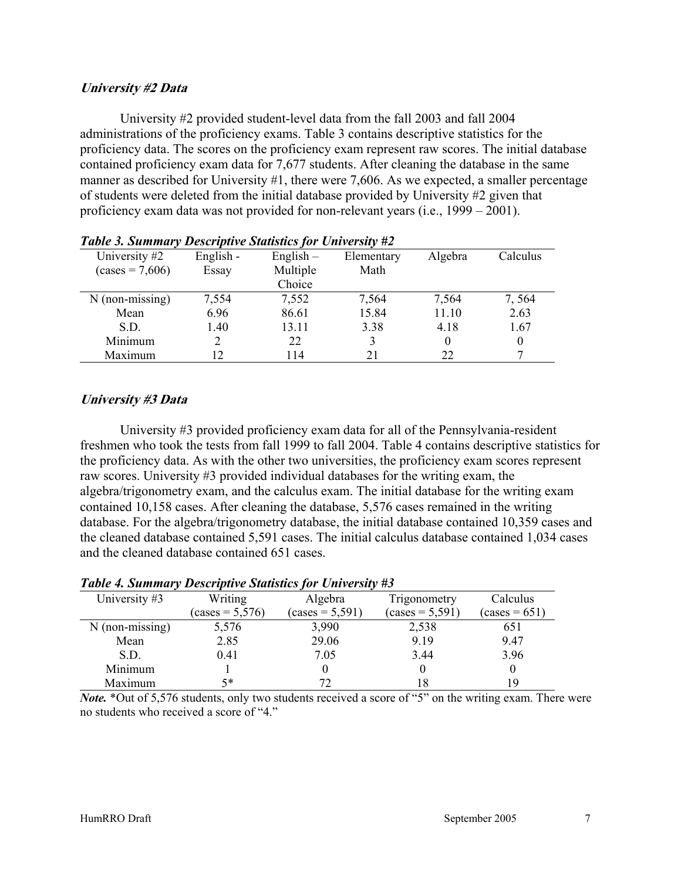#### **University #2 Data**

University #2 provided student-level data from the fall 2003 and fall 2004 administrations of the proficiency exams. Table 3 contains descriptive statistics for the proficiency data. The scores on the proficiency exam represent raw scores. The initial database contained proficiency exam data for 7,677 students. After cleaning the database in the same manner as described for University #1, there were 7,606. As we expected, a smaller percentage of students were deleted from the initial database provided by University #2 given that proficiency exam data was not provided for non-relevant years (i.e., 1999 – 2001).

|                   | Tubic 9. Summury Descriptive Sumsues for Chiversity $\pi\omega$ |             |            |          |          |  |  |
|-------------------|-----------------------------------------------------------------|-------------|------------|----------|----------|--|--|
| University #2     | English -                                                       | $English -$ | Elementary | Algebra  | Calculus |  |  |
| $(cases = 7,606)$ | Essay                                                           | Multiple    | Math       |          |          |  |  |
|                   |                                                                 | Choice      |            |          |          |  |  |
| $N$ (non-missing) | 7,554                                                           | 7,552       | 7,564      | 7,564    | 7,564    |  |  |
| Mean              | 6.96                                                            | 86.61       | 15.84      | 11.10    | 2.63     |  |  |
| S.D.              | 1.40                                                            | 13.11       | 3.38       | 4.18     | 1.67     |  |  |
| Minimum           |                                                                 | 22          | 3          | $\theta$ | 0        |  |  |
| Maximum           | 12                                                              | 114         | 21         | 22       |          |  |  |

#### **University #3 Data**

University #3 provided proficiency exam data for all of the Pennsylvania-resident freshmen who took the tests from fall 1999 to fall 2004. Table 4 contains descriptive statistics for the proficiency data. As with the other two universities, the proficiency exam scores represent raw scores. University #3 provided individual databases for the writing exam, the algebra/trigonometry exam, and the calculus exam. The initial database for the writing exam contained 10,158 cases. After cleaning the database, 5,576 cases remained in the writing database. For the algebra/trigonometry database, the initial database contained 10,359 cases and the cleaned database contained 5,591 cases. The initial calculus database contained 1,034 cases and the cleaned database contained 651 cases.

| University #3     | Writing                  | Algebra           | Trigonometry      | Calculus        |
|-------------------|--------------------------|-------------------|-------------------|-----------------|
|                   | $\text{(cases} = 5,576)$ | $(cases = 5,591)$ | $(cases = 5,591)$ | $(cases = 651)$ |
| $N$ (non-missing) | 5,576                    | 3,990             | 2,538             | 651             |
| Mean              | 2.85                     | 29.06             | 9.19              | 9.47            |
| S.D.              | 0.41                     | 7.05              | 3.44              | 3.96            |
| Minimum           |                          |                   |                   |                 |
| Maximum           | 5*                       | 72                |                   | 19              |

#### *Table 4. Summary Descriptive Statistics for University #3*

*Note.* \*Out of 5,576 students, only two students received a score of "5" on the writing exam. There were no students who received a score of "4."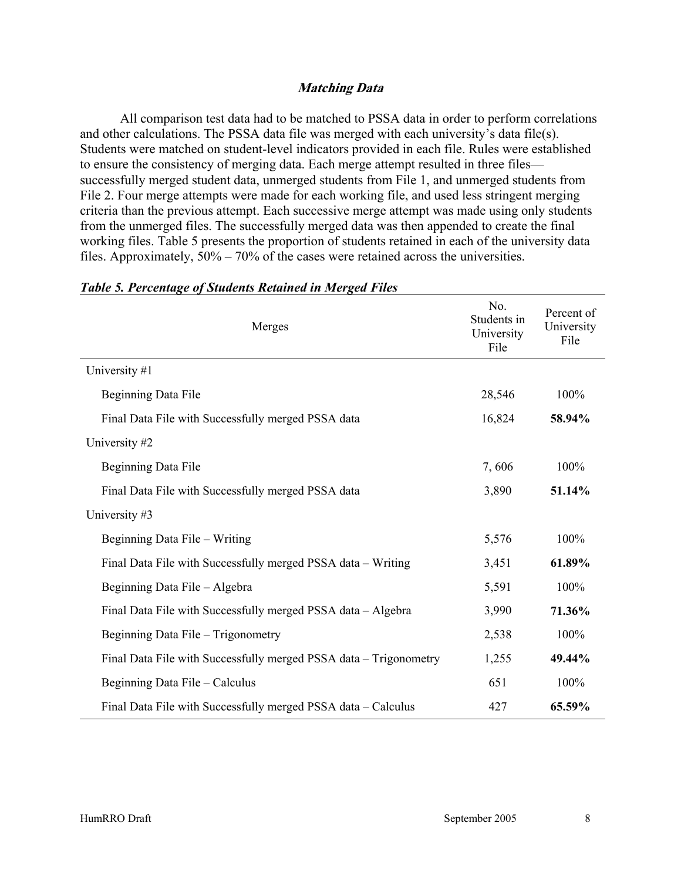#### **Matching Data**

All comparison test data had to be matched to PSSA data in order to perform correlations and other calculations. The PSSA data file was merged with each university's data file(s). Students were matched on student-level indicators provided in each file. Rules were established to ensure the consistency of merging data. Each merge attempt resulted in three files successfully merged student data, unmerged students from File 1, and unmerged students from File 2. Four merge attempts were made for each working file, and used less stringent merging criteria than the previous attempt. Each successive merge attempt was made using only students from the unmerged files. The successfully merged data was then appended to create the final working files. Table 5 presents the proportion of students retained in each of the university data files. Approximately, 50% – 70% of the cases were retained across the universities.

| Merges                                                            | No.<br>Students in<br>University<br>File | Percent of<br>University<br>File |
|-------------------------------------------------------------------|------------------------------------------|----------------------------------|
| University #1                                                     |                                          |                                  |
| Beginning Data File                                               | 28,546                                   | 100%                             |
| Final Data File with Successfully merged PSSA data                | 16,824                                   | 58.94%                           |
| University #2                                                     |                                          |                                  |
| Beginning Data File                                               | 7,606                                    | 100%                             |
| Final Data File with Successfully merged PSSA data                | 3,890                                    | 51.14%                           |
| University #3                                                     |                                          |                                  |
| Beginning Data File – Writing                                     | 5,576                                    | 100%                             |
| Final Data File with Successfully merged PSSA data – Writing      | 3,451                                    | 61.89%                           |
| Beginning Data File - Algebra                                     | 5,591                                    | 100%                             |
| Final Data File with Successfully merged PSSA data - Algebra      | 3,990                                    | 71.36%                           |
| Beginning Data File - Trigonometry                                | 2,538                                    | 100%                             |
| Final Data File with Successfully merged PSSA data - Trigonometry | 1,255                                    | 49.44%                           |
| Beginning Data File - Calculus                                    | 651                                      | 100%                             |
| Final Data File with Successfully merged PSSA data – Calculus     | 427                                      | 65.59%                           |

#### *Table 5. Percentage of Students Retained in Merged Files*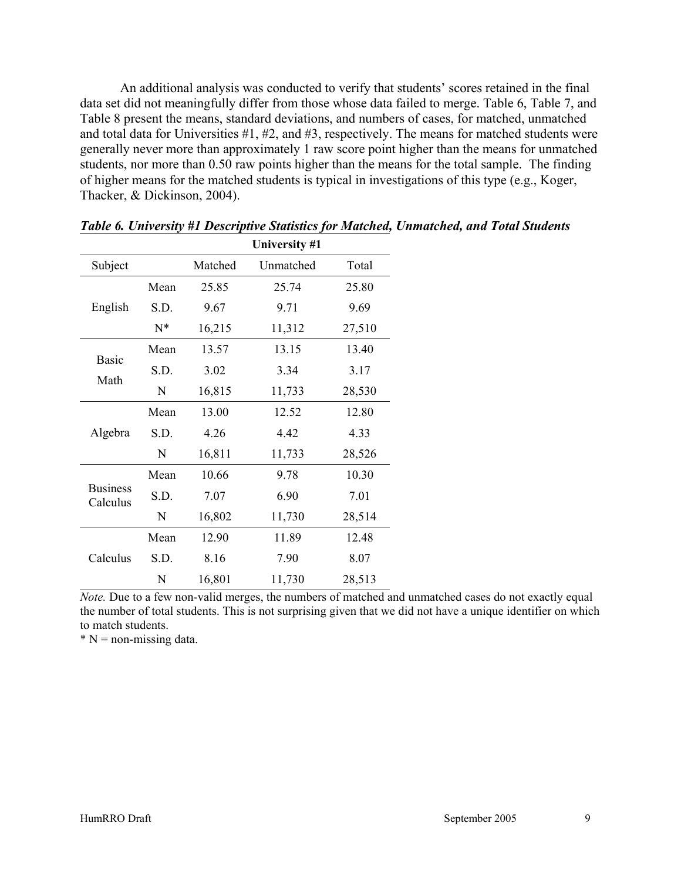An additional analysis was conducted to verify that students' scores retained in the final data set did not meaningfully differ from those whose data failed to merge. Table 6, Table 7, and Table 8 present the means, standard deviations, and numbers of cases, for matched, unmatched and total data for Universities #1, #2, and #3, respectively. The means for matched students were generally never more than approximately 1 raw score point higher than the means for unmatched students, nor more than 0.50 raw points higher than the means for the total sample. The finding of higher means for the matched students is typical in investigations of this type (e.g., Koger, Thacker, & Dickinson, 2004).

|                             |       |         | University #1 |        |
|-----------------------------|-------|---------|---------------|--------|
| Subject                     |       | Matched | Unmatched     | Total  |
|                             | Mean  | 25.85   | 25.74         | 25.80  |
| English                     | S.D.  | 9.67    | 9.71          | 9.69   |
|                             | $N^*$ | 16,215  | 11,312        | 27,510 |
|                             | Mean  | 13.57   | 13.15         | 13.40  |
| <b>Basic</b>                | S.D.  | 3.02    | 3.34          | 3.17   |
| Math                        | N     | 16,815  | 11,733        | 28,530 |
|                             | Mean  | 13.00   | 12.52         | 12.80  |
| Algebra                     | S.D.  | 4.26    | 4.42          | 4.33   |
|                             | N     | 16,811  | 11,733        | 28,526 |
|                             | Mean  | 10.66   | 9.78          | 10.30  |
| <b>Business</b><br>Calculus | S.D.  | 7.07    | 6.90          | 7.01   |
|                             | N     | 16,802  | 11,730        | 28,514 |
|                             | Mean  | 12.90   | 11.89         | 12.48  |
| Calculus                    | S.D.  | 8.16    | 7.90          | 8.07   |
|                             | N     | 16,801  | 11,730        | 28,513 |

*Table 6. University #1 Descriptive Statistics for Matched, Unmatched, and Total Students* 

*Note.* Due to a few non-valid merges, the numbers of matched and unmatched cases do not exactly equal the number of total students. This is not surprising given that we did not have a unique identifier on which to match students.

 $* N =$  non-missing data.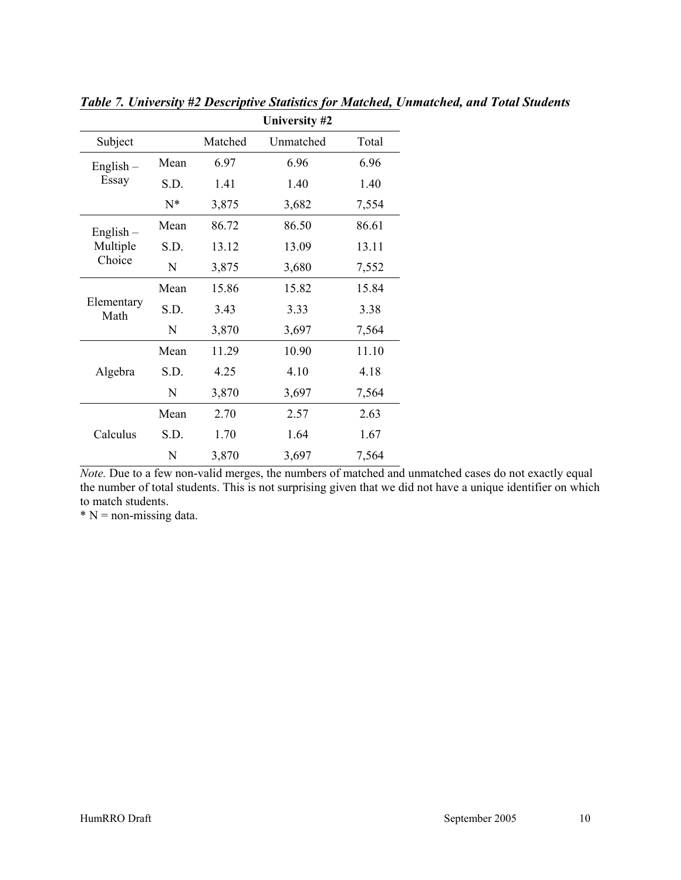|                    |       |         | University #2 |       |
|--------------------|-------|---------|---------------|-------|
| Subject            |       | Matched | Unmatched     | Total |
| $English -$        | Mean  | 6.97    | 6.96          | 6.96  |
| Essay              | S.D.  | 1.41    | 1.40          | 1.40  |
|                    | $N^*$ | 3,875   | 3,682         | 7,554 |
| $English -$        | Mean  | 86.72   | 86.50         | 86.61 |
| Multiple           | S.D.  | 13.12   | 13.09         | 13.11 |
| Choice             | N     | 3,875   | 3,680         | 7,552 |
|                    | Mean  | 15.86   | 15.82         | 15.84 |
| Elementary<br>Math | S.D.  | 3.43    | 3.33          | 3.38  |
|                    | N     | 3,870   | 3,697         | 7,564 |
|                    | Mean  | 11.29   | 10.90         | 11.10 |
| Algebra            | S.D.  | 4.25    | 4.10          | 4.18  |
|                    | N     | 3,870   | 3,697         | 7,564 |
|                    | Mean  | 2.70    | 2.57          | 2.63  |
| Calculus           | S.D.  | 1.70    | 1.64          | 1.67  |
|                    | N     | 3,870   | 3,697         | 7,564 |

*Table 7. University #2 Descriptive Statistics for Matched, Unmatched, and Total Students* 

*Note.* Due to a few non-valid merges, the numbers of matched and unmatched cases do not exactly equal the number of total students. This is not surprising given that we did not have a unique identifier on which to match students.

 $*$  N = non-missing data.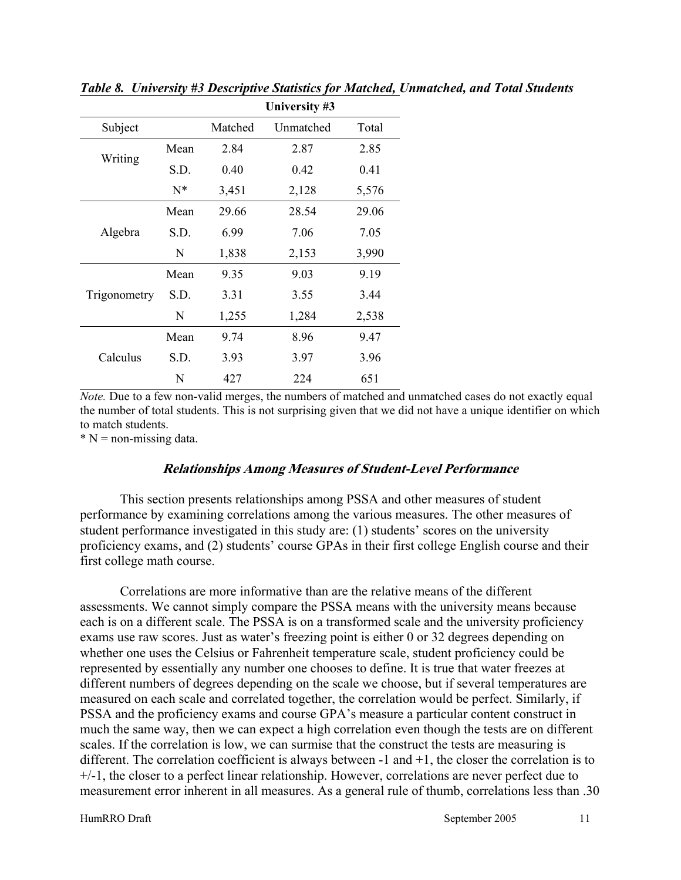|              |       |         | University #3 |       |
|--------------|-------|---------|---------------|-------|
| Subject      |       | Matched | Unmatched     | Total |
|              | Mean  | 2.84    | 2.87          | 2.85  |
| Writing      | S.D.  | 0.40    | 0.42          | 0.41  |
|              | $N^*$ | 3,451   | 2,128         | 5,576 |
|              | Mean  | 29.66   | 28.54         | 29.06 |
| Algebra      | S.D.  | 6.99    | 7.06          | 7.05  |
|              | N     | 1,838   | 2,153         | 3,990 |
|              | Mean  | 9.35    | 9.03          | 9.19  |
| Trigonometry | S.D.  | 3.31    | 3.55          | 3.44  |
|              | N     | 1,255   | 1,284         | 2,538 |
|              | Mean  | 9.74    | 8.96          | 9.47  |
| Calculus     | S.D.  | 3.93    | 3.97          | 3.96  |
|              | N     | 427     | 224           | 651   |

*Table 8. University #3 Descriptive Statistics for Matched, Unmatched, and Total Students* 

*Note.* Due to a few non-valid merges, the numbers of matched and unmatched cases do not exactly equal the number of total students. This is not surprising given that we did not have a unique identifier on which to match students.

 $* N =$  non-missing data.

#### **Relationships Among Measures of Student-Level Performance**

This section presents relationships among PSSA and other measures of student performance by examining correlations among the various measures. The other measures of student performance investigated in this study are: (1) students' scores on the university proficiency exams, and (2) students' course GPAs in their first college English course and their first college math course.

Correlations are more informative than are the relative means of the different assessments. We cannot simply compare the PSSA means with the university means because each is on a different scale. The PSSA is on a transformed scale and the university proficiency exams use raw scores. Just as water's freezing point is either 0 or 32 degrees depending on whether one uses the Celsius or Fahrenheit temperature scale, student proficiency could be represented by essentially any number one chooses to define. It is true that water freezes at different numbers of degrees depending on the scale we choose, but if several temperatures are measured on each scale and correlated together, the correlation would be perfect. Similarly, if PSSA and the proficiency exams and course GPA's measure a particular content construct in much the same way, then we can expect a high correlation even though the tests are on different scales. If the correlation is low, we can surmise that the construct the tests are measuring is different. The correlation coefficient is always between -1 and +1, the closer the correlation is to +/-1, the closer to a perfect linear relationship. However, correlations are never perfect due to measurement error inherent in all measures. As a general rule of thumb, correlations less than .30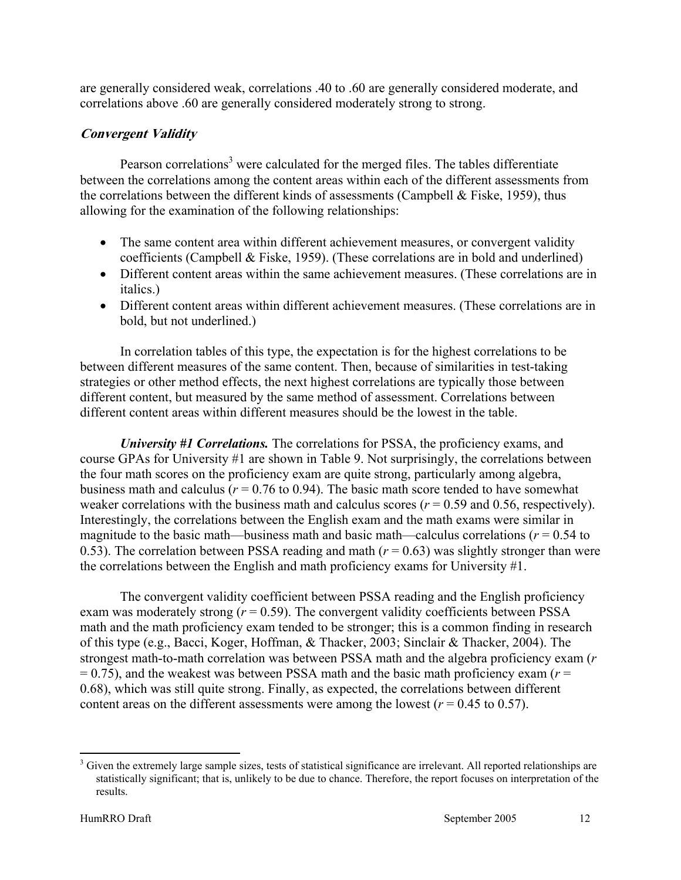are generally considered weak, correlations .40 to .60 are generally considered moderate, and correlations above .60 are generally considered moderately strong to strong.

#### **Convergent Validity**

Pearson correlations<sup>3</sup> were calculated for the merged files. The tables differentiate between the correlations among the content areas within each of the different assessments from the correlations between the different kinds of assessments (Campbell & Fiske, 1959), thus allowing for the examination of the following relationships:

- The same content area within different achievement measures, or convergent validity coefficients (Campbell & Fiske, 1959). (These correlations are in bold and underlined)
- Different content areas within the same achievement measures. (These correlations are in italics.)
- Different content areas within different achievement measures. (These correlations are in bold, but not underlined.)

In correlation tables of this type, the expectation is for the highest correlations to be between different measures of the same content. Then, because of similarities in test-taking strategies or other method effects, the next highest correlations are typically those between different content, but measured by the same method of assessment. Correlations between different content areas within different measures should be the lowest in the table.

*University #1 Correlations.* The correlations for PSSA, the proficiency exams, and course GPAs for University #1 are shown in Table 9. Not surprisingly, the correlations between the four math scores on the proficiency exam are quite strong, particularly among algebra, business math and calculus ( $r = 0.76$  to 0.94). The basic math score tended to have somewhat weaker correlations with the business math and calculus scores  $(r = 0.59$  and 0.56, respectively). Interestingly, the correlations between the English exam and the math exams were similar in magnitude to the basic math—business math and basic math—calculus correlations ( $r = 0.54$  to 0.53). The correlation between PSSA reading and math  $(r = 0.63)$  was slightly stronger than were the correlations between the English and math proficiency exams for University #1.

The convergent validity coefficient between PSSA reading and the English proficiency exam was moderately strong  $(r = 0.59)$ . The convergent validity coefficients between PSSA math and the math proficiency exam tended to be stronger; this is a common finding in research of this type (e.g., Bacci, Koger, Hoffman, & Thacker, 2003; Sinclair & Thacker, 2004). The strongest math-to-math correlation was between PSSA math and the algebra proficiency exam (*r*   $= 0.75$ ), and the weakest was between PSSA math and the basic math proficiency exam ( $r =$ 0.68), which was still quite strong. Finally, as expected, the correlations between different content areas on the different assessments were among the lowest ( $r = 0.45$  to 0.57).

 $\overline{a}$ 

 $3$  Given the extremely large sample sizes, tests of statistical significance are irrelevant. All reported relationships are statistically significant; that is, unlikely to be due to chance. Therefore, the report focuses on interpretation of the results.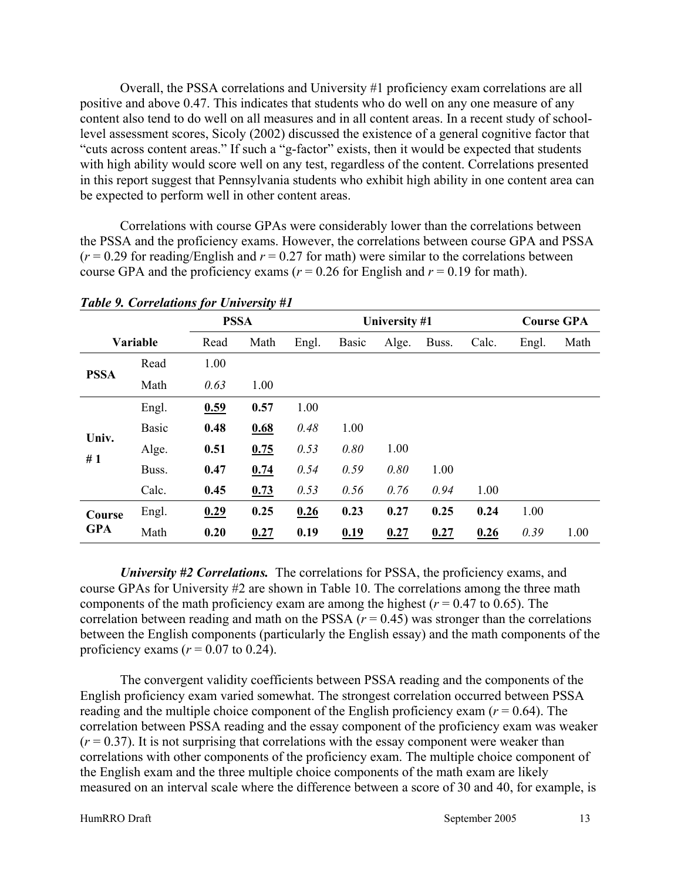Overall, the PSSA correlations and University #1 proficiency exam correlations are all positive and above 0.47. This indicates that students who do well on any one measure of any content also tend to do well on all measures and in all content areas. In a recent study of schoollevel assessment scores, Sicoly (2002) discussed the existence of a general cognitive factor that "cuts across content areas." If such a "g-factor" exists, then it would be expected that students with high ability would score well on any test, regardless of the content. Correlations presented in this report suggest that Pennsylvania students who exhibit high ability in one content area can be expected to perform well in other content areas.

Correlations with course GPAs were considerably lower than the correlations between the PSSA and the proficiency exams. However, the correlations between course GPA and PSSA  $(r = 0.29$  for reading/English and  $r = 0.27$  for math) were similar to the correlations between course GPA and the proficiency exams ( $r = 0.26$  for English and  $r = 0.19$  for math).

|             |              | <b>PSSA</b> |      |       |              | University #1 |       |       |       | <b>Course GPA</b> |
|-------------|--------------|-------------|------|-------|--------------|---------------|-------|-------|-------|-------------------|
|             | Variable     | Read        | Math | Engl. | <b>Basic</b> | Alge.         | Buss. | Calc. | Engl. | Math              |
| <b>PSSA</b> | Read         | 1.00        |      |       |              |               |       |       |       |                   |
|             | Math         | 0.63        | 1.00 |       |              |               |       |       |       |                   |
|             | Engl.        | 0.59        | 0.57 | 1.00  |              |               |       |       |       |                   |
| Univ.       | <b>Basic</b> | 0.48        | 0.68 | 0.48  | 1.00         |               |       |       |       |                   |
| #1          | Alge.        | 0.51        | 0.75 | 0.53  | 0.80         | 1.00          |       |       |       |                   |
|             | Buss.        | 0.47        | 0.74 | 0.54  | 0.59         | 0.80          | 1.00  |       |       |                   |
|             | Calc.        | 0.45        | 0.73 | 0.53  | 0.56         | 0.76          | 0.94  | 1.00  |       |                   |
| Course      | Engl.        | 0.29        | 0.25 | 0.26  | 0.23         | 0.27          | 0.25  | 0.24  | 1.00  |                   |
| <b>GPA</b>  | Math         | 0.20        | 0.27 | 0.19  | 0.19         | 0.27          | 0.27  | 0.26  | 0.39  | 1.00              |

*Table 9. Correlations for University #1* 

*University #2 Correlations.* The correlations for PSSA, the proficiency exams, and course GPAs for University #2 are shown in Table 10. The correlations among the three math components of the math proficiency exam are among the highest ( $r = 0.47$  to 0.65). The correlation between reading and math on the PSSA  $(r = 0.45)$  was stronger than the correlations between the English components (particularly the English essay) and the math components of the proficiency exams  $(r = 0.07 \text{ to } 0.24)$ .

The convergent validity coefficients between PSSA reading and the components of the English proficiency exam varied somewhat. The strongest correlation occurred between PSSA reading and the multiple choice component of the English proficiency exam ( $r = 0.64$ ). The correlation between PSSA reading and the essay component of the proficiency exam was weaker  $(r = 0.37)$ . It is not surprising that correlations with the essay component were weaker than correlations with other components of the proficiency exam. The multiple choice component of the English exam and the three multiple choice components of the math exam are likely measured on an interval scale where the difference between a score of 30 and 40, for example, is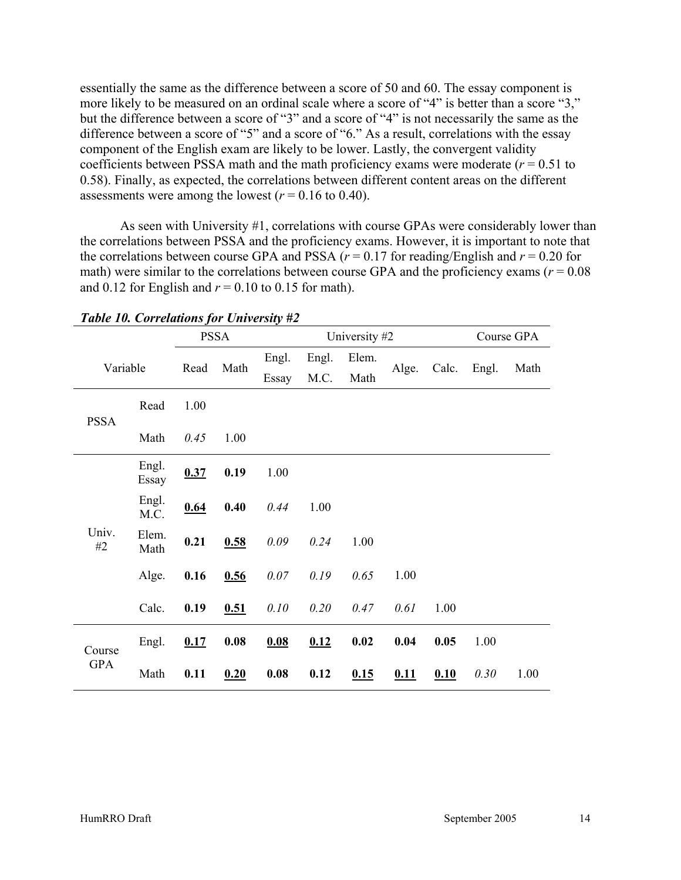essentially the same as the difference between a score of 50 and 60. The essay component is more likely to be measured on an ordinal scale where a score of "4" is better than a score "3," but the difference between a score of "3" and a score of "4" is not necessarily the same as the difference between a score of "5" and a score of "6." As a result, correlations with the essay component of the English exam are likely to be lower. Lastly, the convergent validity coefficients between PSSA math and the math proficiency exams were moderate  $(r = 0.51$  to 0.58). Finally, as expected, the correlations between different content areas on the different assessments were among the lowest  $(r = 0.16 \text{ to } 0.40)$ .

As seen with University #1, correlations with course GPAs were considerably lower than the correlations between PSSA and the proficiency exams. However, it is important to note that the correlations between course GPA and PSSA ( $r = 0.17$  for reading/English and  $r = 0.20$  for math) were similar to the correlations between course GPA and the proficiency exams ( $r = 0.08$ ) and 0.12 for English and  $r = 0.10$  to 0.15 for math).

|             |                |      | <b>PSSA</b> |       |       | University #2 |       |       |       | Course GPA |
|-------------|----------------|------|-------------|-------|-------|---------------|-------|-------|-------|------------|
| Variable    |                | Read | Math        | Engl. | Engl. | Elem.         | Alge. | Calc. |       | Math       |
|             |                |      |             | Essay | M.C.  | Math          |       |       | Engl. |            |
| <b>PSSA</b> | Read           | 1.00 |             |       |       |               |       |       |       |            |
|             | Math           | 0.45 | 1.00        |       |       |               |       |       |       |            |
|             | Engl.<br>Essay | 0.37 | 0.19        | 1.00  |       |               |       |       |       |            |
|             | Engl.<br>M.C.  | 0.64 | 0.40        | 0.44  | 1.00  |               |       |       |       |            |
| Univ.<br>#2 | Elem.<br>Math  | 0.21 | 0.58        | 0.09  | 0.24  | 1.00          |       |       |       |            |
|             | Alge.          | 0.16 | 0.56        | 0.07  | 0.19  | 0.65          | 1.00  |       |       |            |
|             | Calc.          | 0.19 | 0.51        | 0.10  | 0.20  | 0.47          | 0.61  | 1.00  |       |            |
| Course      | Engl.          | 0.17 | 0.08        | 0.08  | 0.12  | 0.02          | 0.04  | 0.05  | 1.00  |            |
| <b>GPA</b>  | Math           | 0.11 | 0.20        | 0.08  | 0.12  | 0.15          | 0.11  | 0.10  | 0.30  | 1.00       |

*Table 10. Correlations for University #2*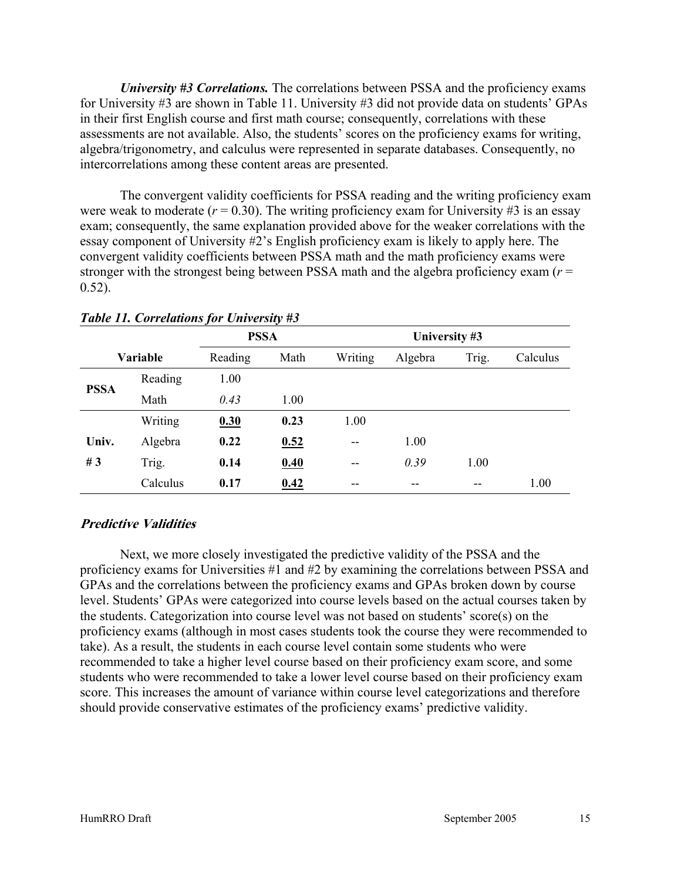*University #3 Correlations.* The correlations between PSSA and the proficiency exams for University #3 are shown in Table 11. University #3 did not provide data on students' GPAs in their first English course and first math course; consequently, correlations with these assessments are not available. Also, the students' scores on the proficiency exams for writing, algebra/trigonometry, and calculus were represented in separate databases. Consequently, no intercorrelations among these content areas are presented.

The convergent validity coefficients for PSSA reading and the writing proficiency exam were weak to moderate  $(r = 0.30)$ . The writing proficiency exam for University #3 is an essay exam; consequently, the same explanation provided above for the weaker correlations with the essay component of University #2's English proficiency exam is likely to apply here. The convergent validity coefficients between PSSA math and the math proficiency exams were stronger with the strongest being between PSSA math and the algebra proficiency exam  $(r =$  $0.52$ ).

|             |                 | <b>PSSA</b> |      |         | University #3 |       |          |  |
|-------------|-----------------|-------------|------|---------|---------------|-------|----------|--|
|             | <b>Variable</b> | Reading     | Math | Writing | Algebra       | Trig. | Calculus |  |
|             | Reading         | 1.00        |      |         |               |       |          |  |
| <b>PSSA</b> | Math            | 0.43        | 1.00 |         |               |       |          |  |
|             | Writing         | 0.30        | 0.23 | 1.00    |               |       |          |  |
| Univ.       | Algebra         | 0.22        | 0.52 | --      | 1.00          |       |          |  |
| #3          | Trig.           | 0.14        | 0.40 | $- -$   | 0.39          | 1.00  |          |  |
|             | Calculus        | 0.17        | 0.42 | --      | --            | --    | 1.00     |  |

#### *Table 11. Correlations for University #3*

#### **Predictive Validities**

Next, we more closely investigated the predictive validity of the PSSA and the proficiency exams for Universities #1 and #2 by examining the correlations between PSSA and GPAs and the correlations between the proficiency exams and GPAs broken down by course level. Students' GPAs were categorized into course levels based on the actual courses taken by the students. Categorization into course level was not based on students' score(s) on the proficiency exams (although in most cases students took the course they were recommended to take). As a result, the students in each course level contain some students who were recommended to take a higher level course based on their proficiency exam score, and some students who were recommended to take a lower level course based on their proficiency exam score. This increases the amount of variance within course level categorizations and therefore should provide conservative estimates of the proficiency exams' predictive validity.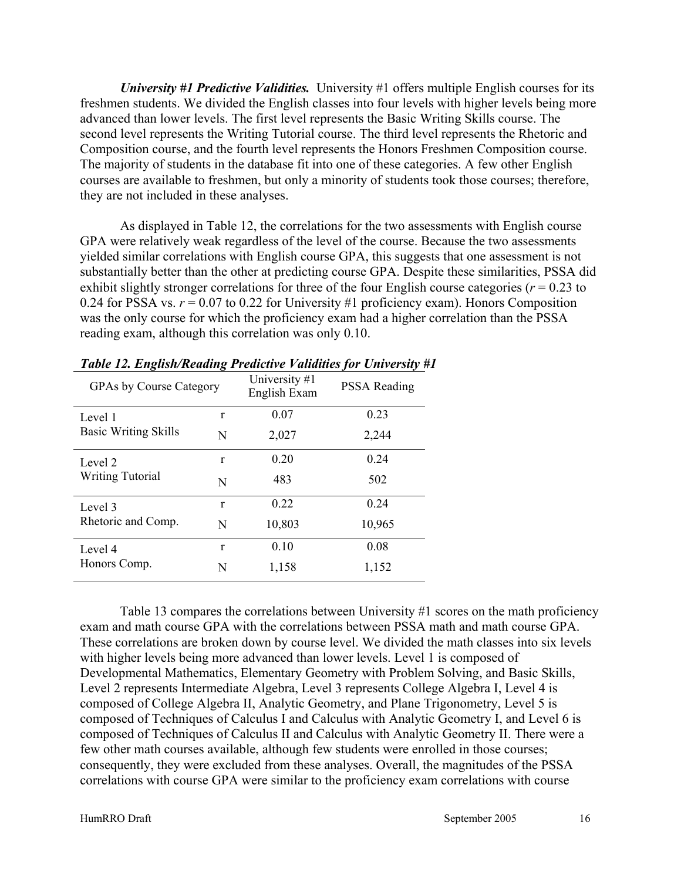*University #1 Predictive Validities.* University #1 offers multiple English courses for its freshmen students. We divided the English classes into four levels with higher levels being more advanced than lower levels. The first level represents the Basic Writing Skills course. The second level represents the Writing Tutorial course. The third level represents the Rhetoric and Composition course, and the fourth level represents the Honors Freshmen Composition course. The majority of students in the database fit into one of these categories. A few other English courses are available to freshmen, but only a minority of students took those courses; therefore, they are not included in these analyses.

As displayed in Table 12, the correlations for the two assessments with English course GPA were relatively weak regardless of the level of the course. Because the two assessments yielded similar correlations with English course GPA, this suggests that one assessment is not substantially better than the other at predicting course GPA. Despite these similarities, PSSA did exhibit slightly stronger correlations for three of the four English course categories (*r* = 0.23 to 0.24 for PSSA vs.  $r = 0.07$  to 0.22 for University #1 proficiency exam). Honors Composition was the only course for which the proficiency exam had a higher correlation than the PSSA reading exam, although this correlation was only 0.10.

| <b>GPAs by Course Category</b> |   | University #1<br>English Exam | <b>PSSA Reading</b> |
|--------------------------------|---|-------------------------------|---------------------|
| Level 1                        | r | 0.07                          | 0.23                |
| <b>Basic Writing Skills</b>    | N | 2,027                         | 2,244               |
| Level 2                        | r | 0.20                          | 0.24                |
| <b>Writing Tutorial</b>        | N | 483                           | 502                 |
| Level 3                        | r | 0.22                          | 0.24                |
| Rhetoric and Comp.             | N | 10,803                        | 10,965              |
| Level 4                        | r | 0.10                          | 0.08                |
| Honors Comp.                   | N | 1,158                         | 1,152               |

| Table 12. English/Reading Predictive Validities for University #1 |  |  |  |  |  |  |
|-------------------------------------------------------------------|--|--|--|--|--|--|
|-------------------------------------------------------------------|--|--|--|--|--|--|

Table 13 compares the correlations between University #1 scores on the math proficiency exam and math course GPA with the correlations between PSSA math and math course GPA. These correlations are broken down by course level. We divided the math classes into six levels with higher levels being more advanced than lower levels. Level 1 is composed of Developmental Mathematics, Elementary Geometry with Problem Solving, and Basic Skills, Level 2 represents Intermediate Algebra, Level 3 represents College Algebra I, Level 4 is composed of College Algebra II, Analytic Geometry, and Plane Trigonometry, Level 5 is composed of Techniques of Calculus I and Calculus with Analytic Geometry I, and Level 6 is composed of Techniques of Calculus II and Calculus with Analytic Geometry II. There were a few other math courses available, although few students were enrolled in those courses; consequently, they were excluded from these analyses. Overall, the magnitudes of the PSSA correlations with course GPA were similar to the proficiency exam correlations with course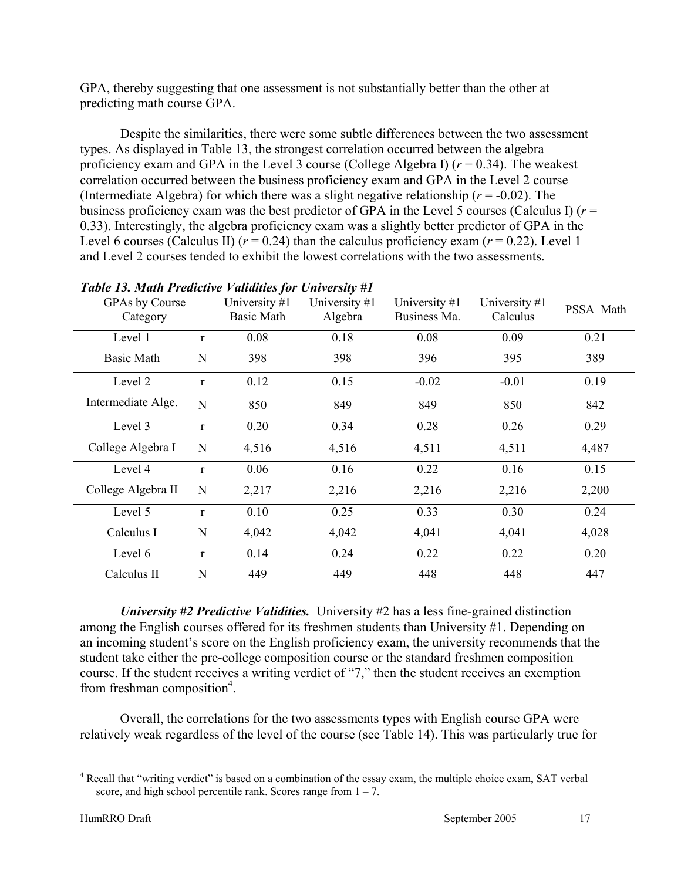GPA, thereby suggesting that one assessment is not substantially better than the other at predicting math course GPA.

Despite the similarities, there were some subtle differences between the two assessment types. As displayed in Table 13, the strongest correlation occurred between the algebra proficiency exam and GPA in the Level 3 course (College Algebra I)  $(r = 0.34)$ . The weakest correlation occurred between the business proficiency exam and GPA in the Level 2 course (Intermediate Algebra) for which there was a slight negative relationship  $(r = -0.02)$ . The business proficiency exam was the best predictor of GPA in the Level 5 courses (Calculus I)  $(r =$ 0.33). Interestingly, the algebra proficiency exam was a slightly better predictor of GPA in the Level 6 courses (Calculus II)  $(r = 0.24)$  than the calculus proficiency exam  $(r = 0.22)$ . Level 1 and Level 2 courses tended to exhibit the lowest correlations with the two assessments.

| GPAs by Course<br>Category |              | University $#1$<br>Basic Math | University #1<br>Algebra | University #1<br>Business Ma. | University $#1$<br>Calculus | PSSA Math |
|----------------------------|--------------|-------------------------------|--------------------------|-------------------------------|-----------------------------|-----------|
| Level 1                    | $\mathbf{r}$ | 0.08                          | 0.18                     | 0.08                          | 0.09                        | 0.21      |
| <b>Basic Math</b>          | N            | 398                           | 398                      | 396                           | 395                         | 389       |
| Level 2                    | $\mathbf{r}$ | 0.12                          | 0.15                     | $-0.02$                       | $-0.01$                     | 0.19      |
| Intermediate Alge.         | N            | 850                           | 849                      | 849                           | 850                         | 842       |
| Level 3                    | $\mathbf{r}$ | 0.20                          | 0.34                     | 0.28                          | 0.26                        | 0.29      |
| College Algebra I          | N            | 4,516                         | 4,516                    | 4,511                         | 4,511                       | 4,487     |
| Level 4                    | $\mathbf{r}$ | 0.06                          | 0.16                     | 0.22                          | 0.16                        | 0.15      |
| College Algebra II         | N            | 2,217                         | 2,216                    | 2,216                         | 2,216                       | 2,200     |
| Level 5                    | $\mathbf{r}$ | 0.10                          | 0.25                     | 0.33                          | 0.30                        | 0.24      |
| Calculus I                 | N            | 4,042                         | 4,042                    | 4,041                         | 4,041                       | 4,028     |
| Level 6                    | $\mathbf{r}$ | 0.14                          | 0.24                     | 0.22                          | 0.22                        | 0.20      |
| Calculus II                | N            | 449                           | 449                      | 448                           | 448                         | 447       |

### *Table 13. Math Predictive Validities for University #1*

*University #2 Predictive Validities.* University #2 has a less fine-grained distinction among the English courses offered for its freshmen students than University #1. Depending on an incoming student's score on the English proficiency exam, the university recommends that the student take either the pre-college composition course or the standard freshmen composition course. If the student receives a writing verdict of "7," then the student receives an exemption from freshman composition<sup>4</sup>.

Overall, the correlations for the two assessments types with English course GPA were relatively weak regardless of the level of the course (see Table 14). This was particularly true for

 $\overline{a}$ 

<sup>&</sup>lt;sup>4</sup> Recall that "writing verdict" is based on a combination of the essay exam, the multiple choice exam, SAT verbal score, and high school percentile rank. Scores range from  $1 - 7$ .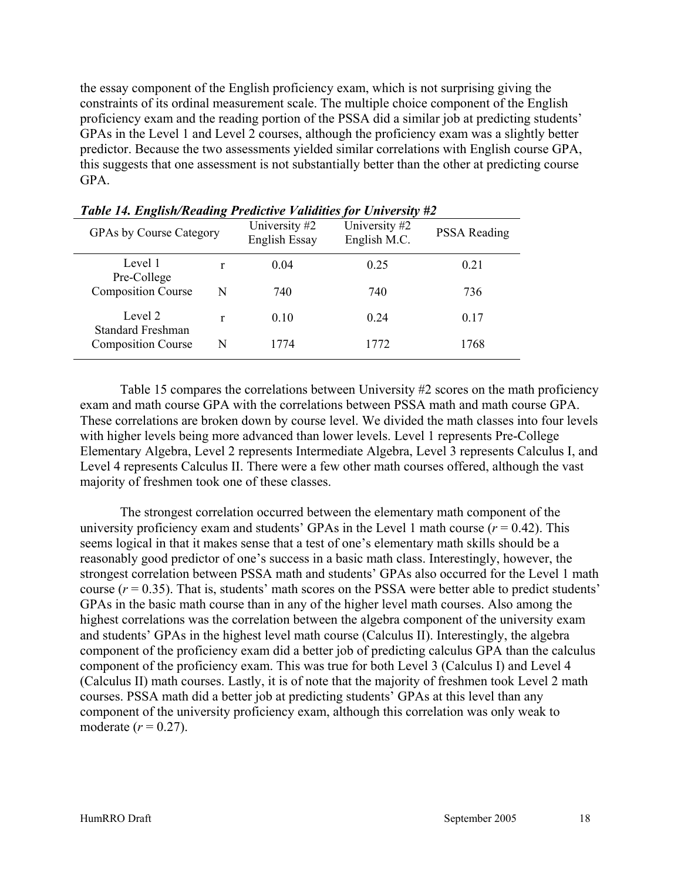the essay component of the English proficiency exam, which is not surprising giving the constraints of its ordinal measurement scale. The multiple choice component of the English proficiency exam and the reading portion of the PSSA did a similar job at predicting students' GPAs in the Level 1 and Level 2 courses, although the proficiency exam was a slightly better predictor. Because the two assessments yielded similar correlations with English course GPA, this suggests that one assessment is not substantially better than the other at predicting course GPA.

| <b>GPAs by Course Category</b>      |   | University #2<br><b>English Essay</b> | University #2<br>English M.C. | <b>PSSA Reading</b> |
|-------------------------------------|---|---------------------------------------|-------------------------------|---------------------|
| Level 1<br>Pre-College              | r | 0.04                                  | 0.25                          | 0.21                |
| <b>Composition Course</b>           | N | 740                                   | 740                           | 736                 |
| Level 2<br><b>Standard Freshman</b> | r | 0.10                                  | 0.24                          | 0.17                |
| <b>Composition Course</b>           | N | 1774                                  | 1772                          | 1768                |

*Table 14. English/Reading Predictive Validities for University #2* 

Table 15 compares the correlations between University #2 scores on the math proficiency exam and math course GPA with the correlations between PSSA math and math course GPA. These correlations are broken down by course level. We divided the math classes into four levels with higher levels being more advanced than lower levels. Level 1 represents Pre-College Elementary Algebra, Level 2 represents Intermediate Algebra, Level 3 represents Calculus I, and Level 4 represents Calculus II. There were a few other math courses offered, although the vast majority of freshmen took one of these classes.

The strongest correlation occurred between the elementary math component of the university proficiency exam and students' GPAs in the Level 1 math course  $(r = 0.42)$ . This seems logical in that it makes sense that a test of one's elementary math skills should be a reasonably good predictor of one's success in a basic math class. Interestingly, however, the strongest correlation between PSSA math and students' GPAs also occurred for the Level 1 math course  $(r = 0.35)$ . That is, students' math scores on the PSSA were better able to predict students' GPAs in the basic math course than in any of the higher level math courses. Also among the highest correlations was the correlation between the algebra component of the university exam and students' GPAs in the highest level math course (Calculus II). Interestingly, the algebra component of the proficiency exam did a better job of predicting calculus GPA than the calculus component of the proficiency exam. This was true for both Level 3 (Calculus I) and Level 4 (Calculus II) math courses. Lastly, it is of note that the majority of freshmen took Level 2 math courses. PSSA math did a better job at predicting students' GPAs at this level than any component of the university proficiency exam, although this correlation was only weak to moderate  $(r = 0.27)$ .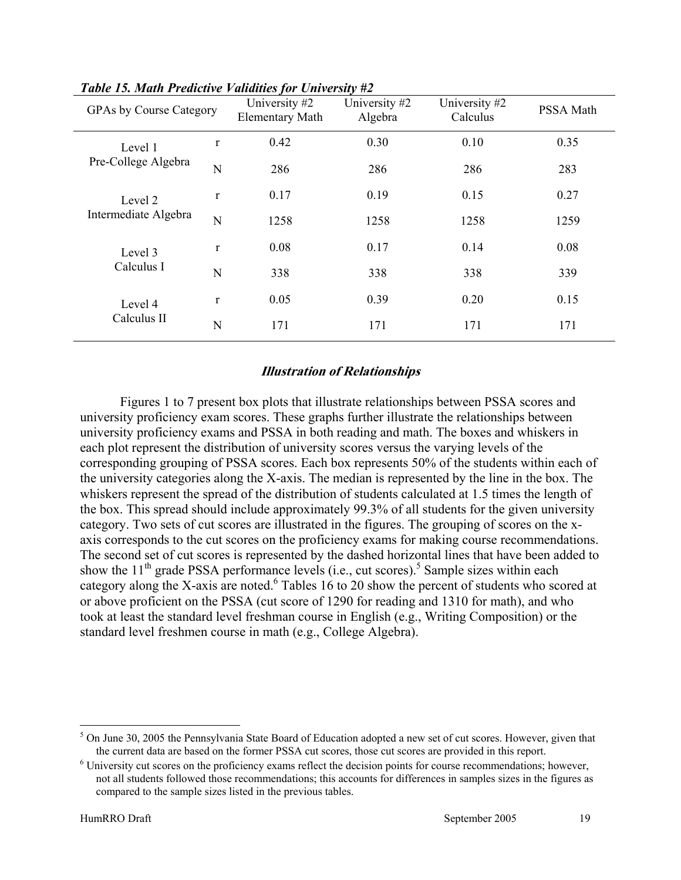| <b>GPAs by Course Category</b> |              | University #2<br><b>Elementary Math</b> | University #2<br>Algebra | University #2<br>Calculus | PSSA Math |
|--------------------------------|--------------|-----------------------------------------|--------------------------|---------------------------|-----------|
| Level 1                        | $\mathbf r$  | 0.42                                    | 0.30                     | 0.10                      | 0.35      |
| Pre-College Algebra            | N            | 286                                     | 286                      | 286                       | 283       |
| Level 2                        | $\mathbf{r}$ | 0.17                                    | 0.19                     | 0.15                      | 0.27      |
| Intermediate Algebra           | N            | 1258                                    | 1258                     | 1258                      | 1259      |
| Level 3                        | $\mathbf{r}$ | 0.08                                    | 0.17                     | 0.14                      | 0.08      |
| Calculus I                     | N            | 338                                     | 338                      | 338                       | 339       |
| Level 4<br>Calculus II         | $\mathbf{r}$ | 0.05                                    | 0.39                     | 0.20                      | 0.15      |
|                                | N            | 171                                     | 171                      | 171                       | 171       |

#### *Table 15. Math Predictive Validities for University #2*

#### **Illustration of Relationships**

Figures 1 to 7 present box plots that illustrate relationships between PSSA scores and university proficiency exam scores. These graphs further illustrate the relationships between university proficiency exams and PSSA in both reading and math. The boxes and whiskers in each plot represent the distribution of university scores versus the varying levels of the corresponding grouping of PSSA scores. Each box represents 50% of the students within each of the university categories along the X-axis. The median is represented by the line in the box. The whiskers represent the spread of the distribution of students calculated at 1.5 times the length of the box. This spread should include approximately 99.3% of all students for the given university category. Two sets of cut scores are illustrated in the figures. The grouping of scores on the xaxis corresponds to the cut scores on the proficiency exams for making course recommendations. The second set of cut scores is represented by the dashed horizontal lines that have been added to show the  $11<sup>th</sup>$  grade PSSA performance levels (i.e., cut scores).<sup>5</sup> Sample sizes within each category along the X-axis are noted.<sup>6</sup> Tables 16 to 20 show the percent of students who scored at or above proficient on the PSSA (cut score of 1290 for reading and 1310 for math), and who took at least the standard level freshman course in English (e.g., Writing Composition) or the standard level freshmen course in math (e.g., College Algebra).

 $\overline{a}$ 

<sup>&</sup>lt;sup>5</sup> On June 30, 2005 the Pennsylvania State Board of Education adopted a new set of cut scores. However, given that the current data are based on the former PSSA cut scores, those cut scores are provided in this report. 6

 University cut scores on the proficiency exams reflect the decision points for course recommendations; however, not all students followed those recommendations; this accounts for differences in samples sizes in the figures as compared to the sample sizes listed in the previous tables.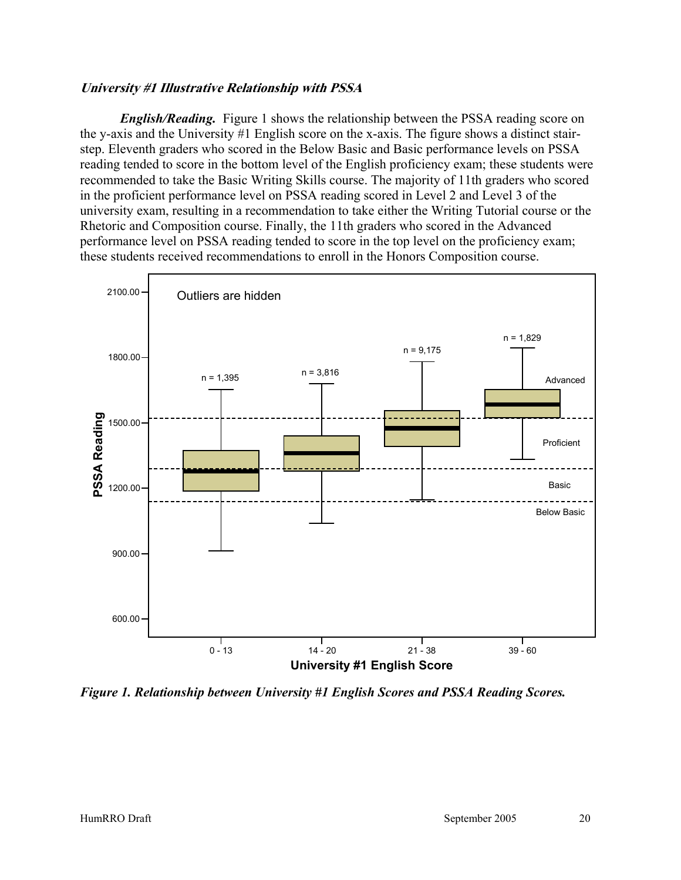#### **University #1 Illustrative Relationship with PSSA**

*English/Reading.* Figure 1 shows the relationship between the PSSA reading score on the y-axis and the University #1 English score on the x-axis. The figure shows a distinct stairstep. Eleventh graders who scored in the Below Basic and Basic performance levels on PSSA reading tended to score in the bottom level of the English proficiency exam; these students were recommended to take the Basic Writing Skills course. The majority of 11th graders who scored in the proficient performance level on PSSA reading scored in Level 2 and Level 3 of the university exam, resulting in a recommendation to take either the Writing Tutorial course or the Rhetoric and Composition course. Finally, the 11th graders who scored in the Advanced performance level on PSSA reading tended to score in the top level on the proficiency exam; these students received recommendations to enroll in the Honors Composition course.



*Figure 1. Relationship between University #1 English Scores and PSSA Reading Scores.*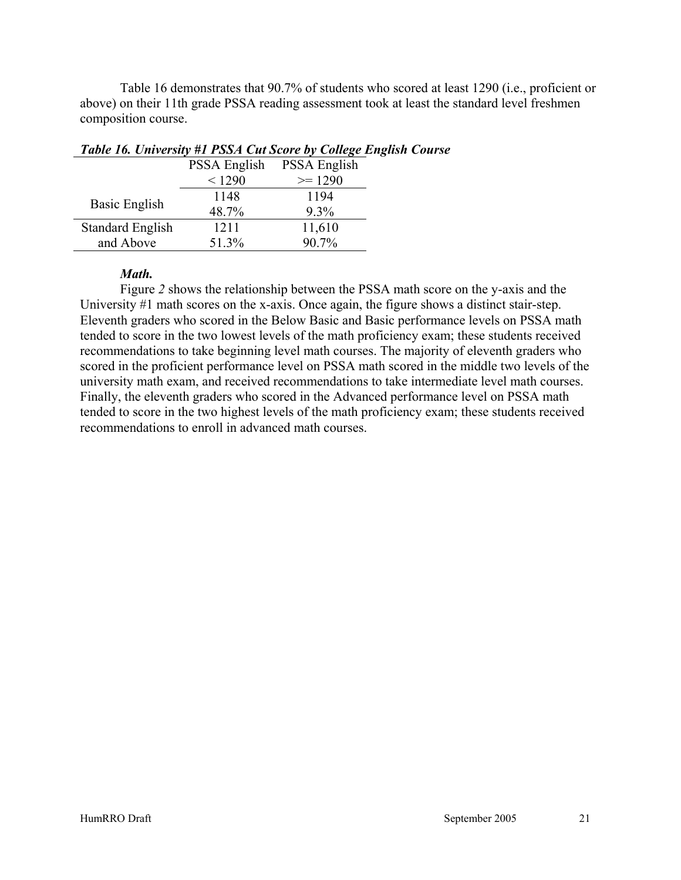Table 16 demonstrates that 90.7% of students who scored at least 1290 (i.e., proficient or above) on their 11th grade PSSA reading assessment took at least the standard level freshmen composition course.

|                         | PSSA English | <b>PSSA English</b> |
|-------------------------|--------------|---------------------|
|                         | < 1290       | $\ge$ 1290          |
|                         | 1148         | 1194                |
| Basic English           | 48.7%        | $9.3\%$             |
| <b>Standard English</b> | 1211         | 11,610              |
| and Above               | 51.3%        | 90.7%               |

#### *Table 16. University #1 PSSA Cut Score by College English Course*

#### *Math.*

Figure *2* shows the relationship between the PSSA math score on the y-axis and the University #1 math scores on the x-axis. Once again, the figure shows a distinct stair-step. Eleventh graders who scored in the Below Basic and Basic performance levels on PSSA math tended to score in the two lowest levels of the math proficiency exam; these students received recommendations to take beginning level math courses. The majority of eleventh graders who scored in the proficient performance level on PSSA math scored in the middle two levels of the university math exam, and received recommendations to take intermediate level math courses. Finally, the eleventh graders who scored in the Advanced performance level on PSSA math tended to score in the two highest levels of the math proficiency exam; these students received recommendations to enroll in advanced math courses.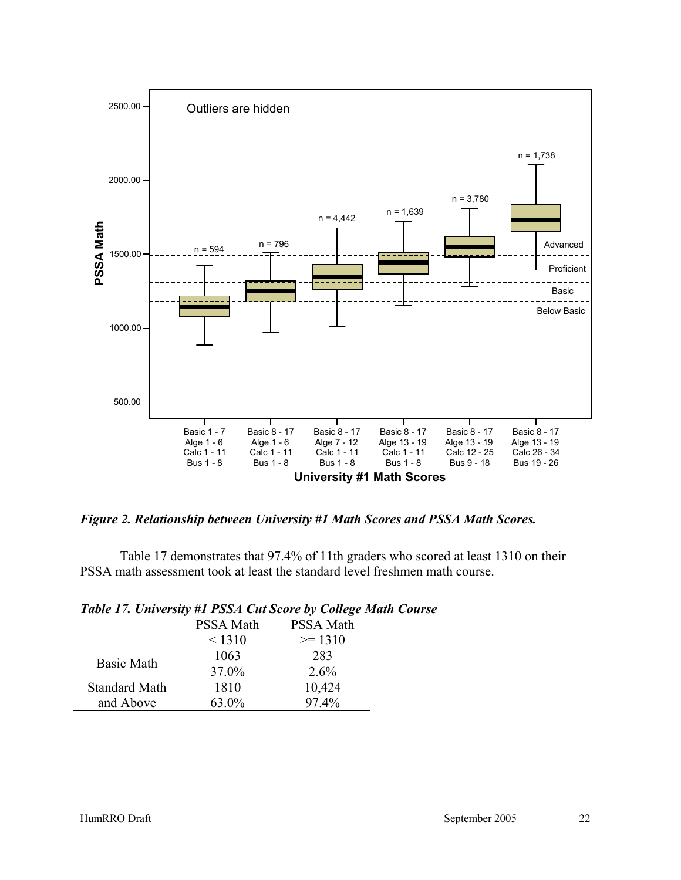

*Figure 2. Relationship between University #1 Math Scores and PSSA Math Scores.* 

Table 17 demonstrates that 97.4% of 11th graders who scored at least 1310 on their PSSA math assessment took at least the standard level freshmen math course.

|                      |                  | Table 17. University #1 PSSA Cut Score by College Mai |
|----------------------|------------------|-------------------------------------------------------|
|                      | <b>PSSA Math</b> | <b>PSSA Math</b>                                      |
|                      | < 1310           | $\ge$ 1310                                            |
|                      | 1063             | 283                                                   |
| <b>Basic Math</b>    | 37.0%            | 2.6%                                                  |
| <b>Standard Math</b> | 1810             | 10,424                                                |
| and Above            | 63.0%            | 97.4%                                                 |

| Table 17. University #1 PSSA Cut Score by College Math Course |  |  |
|---------------------------------------------------------------|--|--|
|---------------------------------------------------------------|--|--|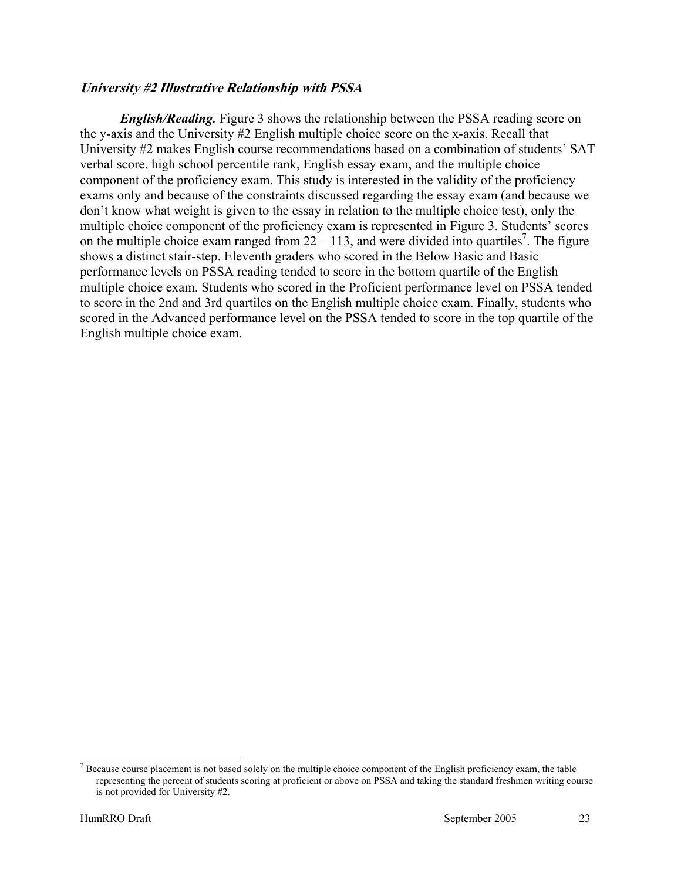#### **University #2 Illustrative Relationship with PSSA**

*English/Reading.* Figure 3 shows the relationship between the PSSA reading score on the y-axis and the University #2 English multiple choice score on the x-axis. Recall that University #2 makes English course recommendations based on a combination of students' SAT verbal score, high school percentile rank, English essay exam, and the multiple choice component of the proficiency exam. This study is interested in the validity of the proficiency exams only and because of the constraints discussed regarding the essay exam (and because we don't know what weight is given to the essay in relation to the multiple choice test), only the multiple choice component of the proficiency exam is represented in Figure 3. Students' scores on the multiple choice exam ranged from  $22 - 113$ , and were divided into quartiles<sup>7</sup>. The figure shows a distinct stair-step. Eleventh graders who scored in the Below Basic and Basic performance levels on PSSA reading tended to score in the bottom quartile of the English multiple choice exam. Students who scored in the Proficient performance level on PSSA tended to score in the 2nd and 3rd quartiles on the English multiple choice exam. Finally, students who scored in the Advanced performance level on the PSSA tended to score in the top quartile of the English multiple choice exam.

 $\overline{a}$ 

 $<sup>7</sup>$  Because course placement is not based solely on the multiple choice component of the English proficiency exam, the table</sup> representing the percent of students scoring at proficient or above on PSSA and taking the standard freshmen writing course is not provided for University #2.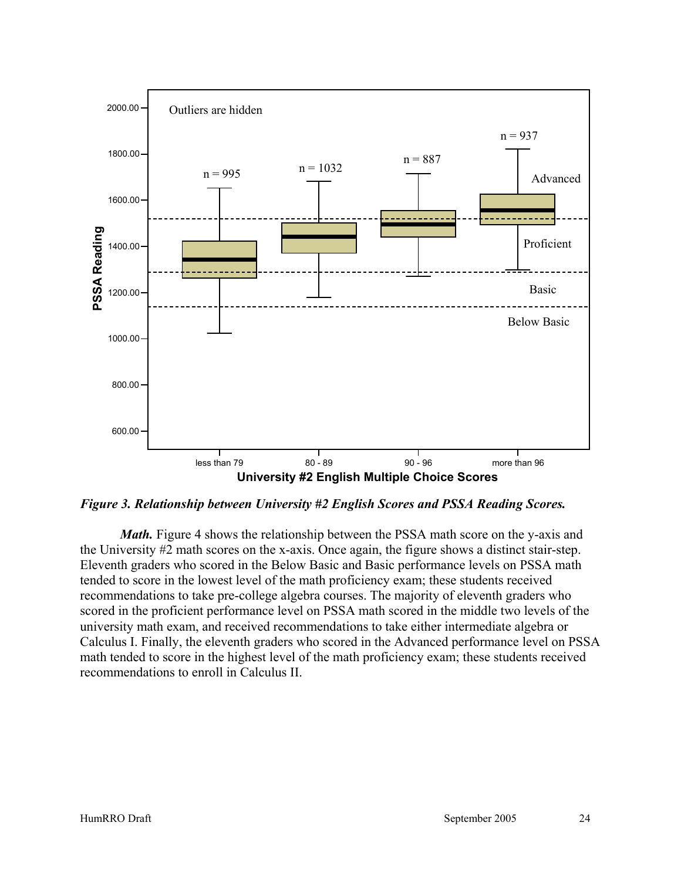

*Figure 3. Relationship between University #2 English Scores and PSSA Reading Scores.* 

*Math.* Figure 4 shows the relationship between the PSSA math score on the y-axis and the University #2 math scores on the x-axis. Once again, the figure shows a distinct stair-step. Eleventh graders who scored in the Below Basic and Basic performance levels on PSSA math tended to score in the lowest level of the math proficiency exam; these students received recommendations to take pre-college algebra courses. The majority of eleventh graders who scored in the proficient performance level on PSSA math scored in the middle two levels of the university math exam, and received recommendations to take either intermediate algebra or Calculus I. Finally, the eleventh graders who scored in the Advanced performance level on PSSA math tended to score in the highest level of the math proficiency exam; these students received recommendations to enroll in Calculus II.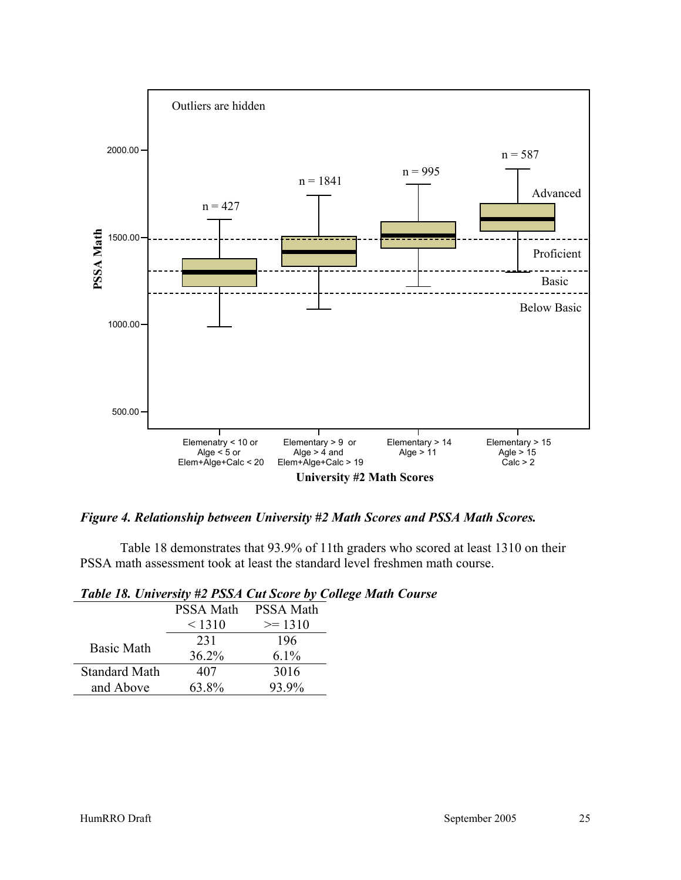

*Figure 4. Relationship between University #2 Math Scores and PSSA Math Scores.* 

Table 18 demonstrates that 93.9% of 11th graders who scored at least 1310 on their PSSA math assessment took at least the standard level freshmen math course.

| 1.00121010111010101<br>$12.5511$ cw sec. e or |           |                  |
|-----------------------------------------------|-----------|------------------|
|                                               | PSSA Math | <b>PSSA Math</b> |
|                                               | < 1310    | $\ge$ 1310       |
| <b>Basic Math</b>                             | 231       | 196              |
|                                               | 36.2%     | $6.1\%$          |
| <b>Standard Math</b>                          | 407       | 3016             |
| and Above                                     | 63.8%     | 93.9%            |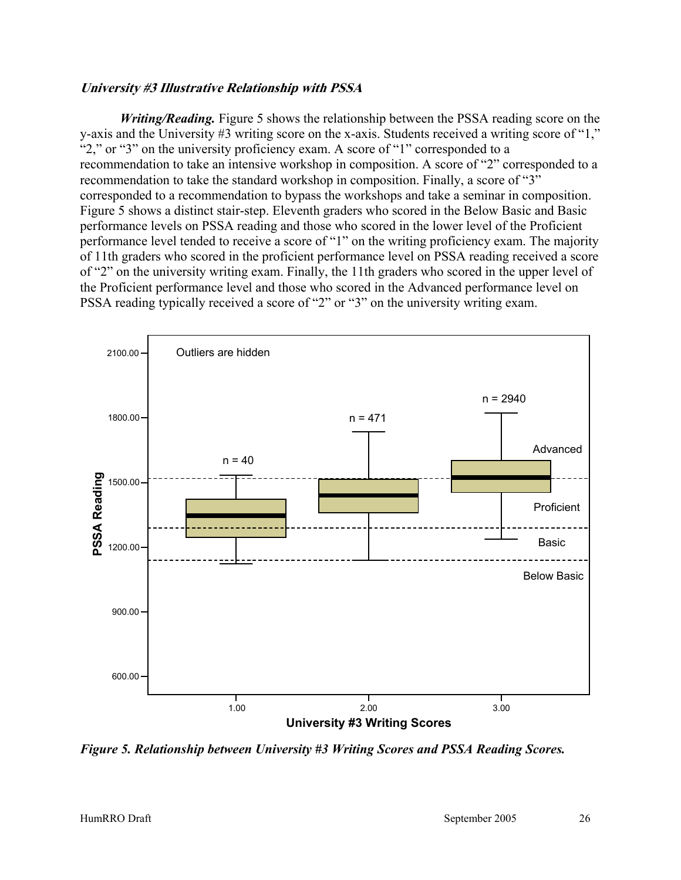#### **University #3 Illustrative Relationship with PSSA**

*Writing/Reading.* Figure 5 shows the relationship between the PSSA reading score on the y-axis and the University #3 writing score on the x-axis. Students received a writing score of "1," "2," or "3" on the university proficiency exam. A score of "1" corresponded to a recommendation to take an intensive workshop in composition. A score of "2" corresponded to a recommendation to take the standard workshop in composition. Finally, a score of "3" corresponded to a recommendation to bypass the workshops and take a seminar in composition. Figure 5 shows a distinct stair-step. Eleventh graders who scored in the Below Basic and Basic performance levels on PSSA reading and those who scored in the lower level of the Proficient performance level tended to receive a score of "1" on the writing proficiency exam. The majority of 11th graders who scored in the proficient performance level on PSSA reading received a score of "2" on the university writing exam. Finally, the 11th graders who scored in the upper level of the Proficient performance level and those who scored in the Advanced performance level on PSSA reading typically received a score of "2" or "3" on the university writing exam.



*Figure 5. Relationship between University #3 Writing Scores and PSSA Reading Scores.*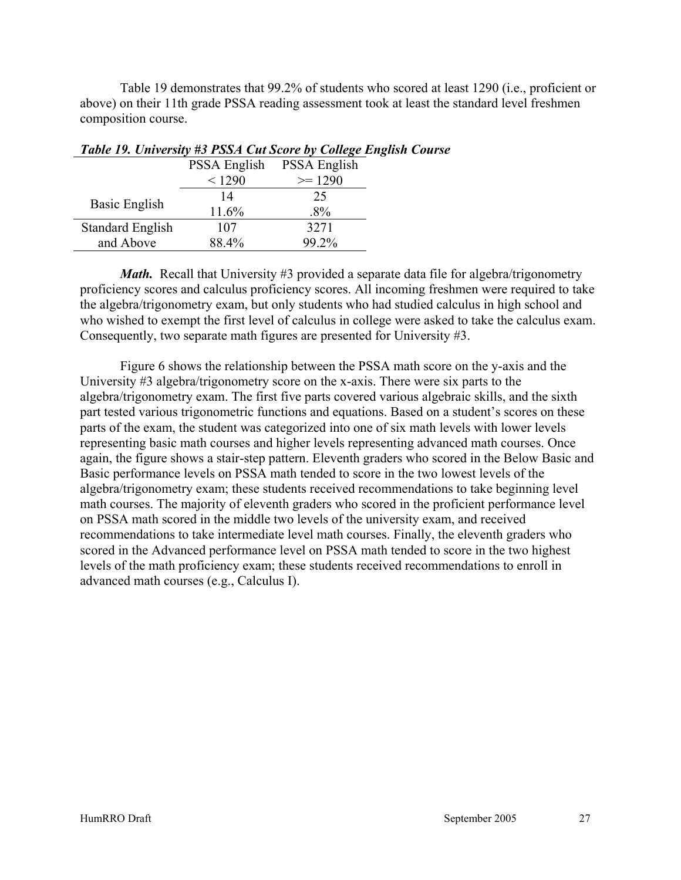Table 19 demonstrates that 99.2% of students who scored at least 1290 (i.e., proficient or above) on their 11th grade PSSA reading assessment took at least the standard level freshmen composition course.

|                         | PSSA English | <b>PSSA English</b> |
|-------------------------|--------------|---------------------|
|                         | < 1290       | $\ge$ 1290          |
| Basic English           | 14           | 25                  |
|                         | 11.6%        | $.8\%$              |
| <b>Standard English</b> | 107          | 3271                |
| and Above               | 88.4%        | 99.2%               |

#### *Table 19. University #3 PSSA Cut Score by College English Course*

*Math.* Recall that University #3 provided a separate data file for algebra/trigonometry proficiency scores and calculus proficiency scores. All incoming freshmen were required to take the algebra/trigonometry exam, but only students who had studied calculus in high school and who wished to exempt the first level of calculus in college were asked to take the calculus exam. Consequently, two separate math figures are presented for University #3.

Figure 6 shows the relationship between the PSSA math score on the y-axis and the University #3 algebra/trigonometry score on the x-axis. There were six parts to the algebra/trigonometry exam. The first five parts covered various algebraic skills, and the sixth part tested various trigonometric functions and equations. Based on a student's scores on these parts of the exam, the student was categorized into one of six math levels with lower levels representing basic math courses and higher levels representing advanced math courses. Once again, the figure shows a stair-step pattern. Eleventh graders who scored in the Below Basic and Basic performance levels on PSSA math tended to score in the two lowest levels of the algebra/trigonometry exam; these students received recommendations to take beginning level math courses. The majority of eleventh graders who scored in the proficient performance level on PSSA math scored in the middle two levels of the university exam, and received recommendations to take intermediate level math courses. Finally, the eleventh graders who scored in the Advanced performance level on PSSA math tended to score in the two highest levels of the math proficiency exam; these students received recommendations to enroll in advanced math courses (e.g., Calculus I).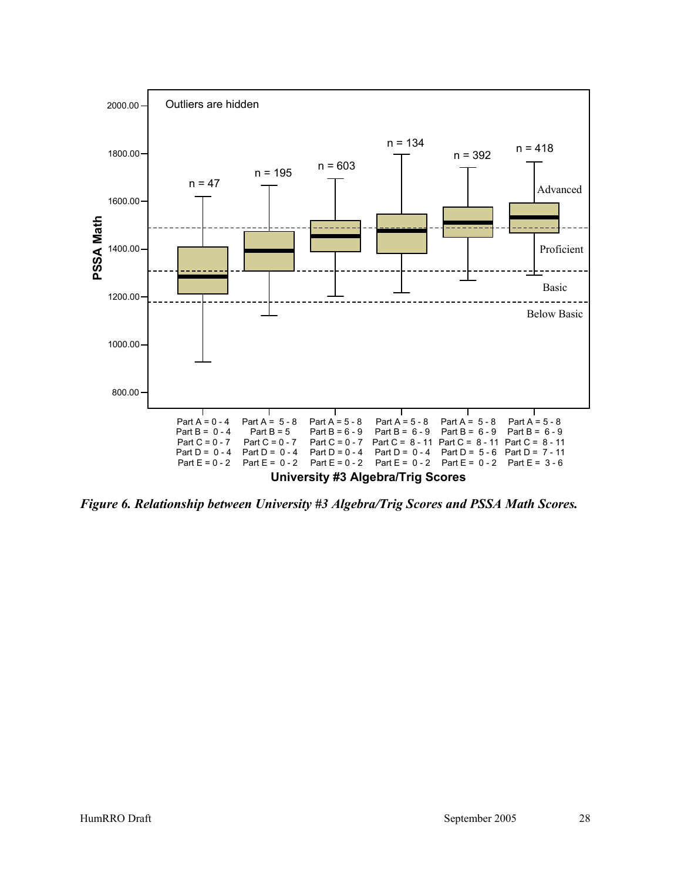

*Figure 6. Relationship between University #3 Algebra/Trig Scores and PSSA Math Scores.*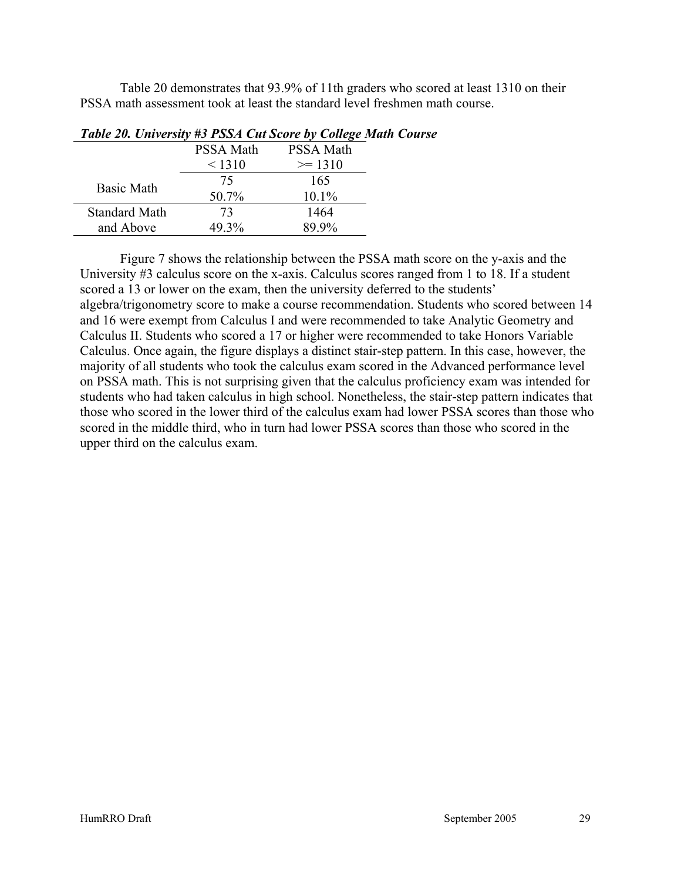Table 20 demonstrates that 93.9% of 11th graders who scored at least 1310 on their PSSA math assessment took at least the standard level freshmen math course.

|                      | <b>PSSA Math</b> | <b>PSSA Math</b> |
|----------------------|------------------|------------------|
|                      | < 1310           | $\ge$ 1310       |
| <b>Basic Math</b>    | 75               | 165              |
|                      | 50.7%            | $10.1\%$         |
| <b>Standard Math</b> | 73               | 1464             |
| and Above            | 49.3%            | 89 9%            |

#### *Table 20. University #3 PSSA Cut Score by College Math Course*

Figure 7 shows the relationship between the PSSA math score on the y-axis and the University #3 calculus score on the x-axis. Calculus scores ranged from 1 to 18. If a student scored a 13 or lower on the exam, then the university deferred to the students' algebra/trigonometry score to make a course recommendation. Students who scored between 14 and 16 were exempt from Calculus I and were recommended to take Analytic Geometry and Calculus II. Students who scored a 17 or higher were recommended to take Honors Variable Calculus. Once again, the figure displays a distinct stair-step pattern. In this case, however, the majority of all students who took the calculus exam scored in the Advanced performance level on PSSA math. This is not surprising given that the calculus proficiency exam was intended for students who had taken calculus in high school. Nonetheless, the stair-step pattern indicates that those who scored in the lower third of the calculus exam had lower PSSA scores than those who scored in the middle third, who in turn had lower PSSA scores than those who scored in the upper third on the calculus exam.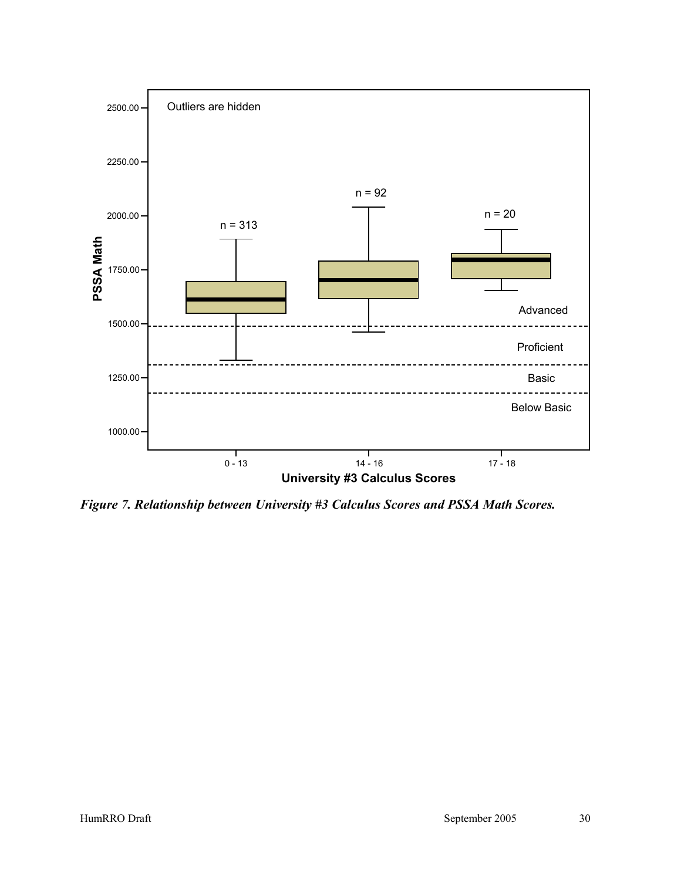

*Figure 7. Relationship between University #3 Calculus Scores and PSSA Math Scores.*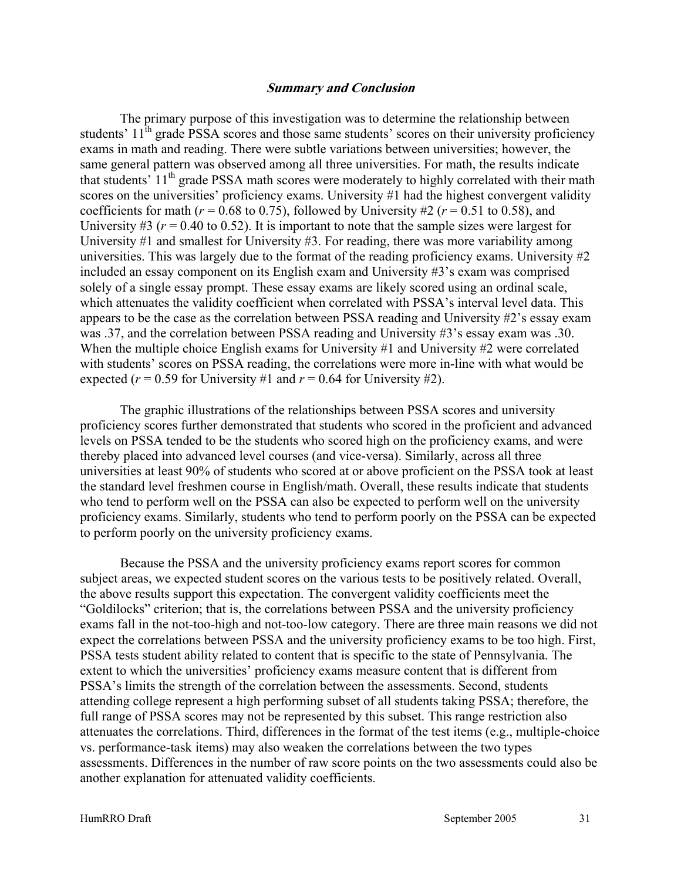#### **Summary and Conclusion**

The primary purpose of this investigation was to determine the relationship between students'  $11<sup>th</sup>$  grade PSSA scores and those same students' scores on their university proficiency exams in math and reading. There were subtle variations between universities; however, the same general pattern was observed among all three universities. For math, the results indicate that students'  $11<sup>th</sup>$  grade PSSA math scores were moderately to highly correlated with their math scores on the universities' proficiency exams. University #1 had the highest convergent validity coefficients for math ( $r = 0.68$  to 0.75), followed by University #2 ( $r = 0.51$  to 0.58), and University #3 ( $r = 0.40$  to 0.52). It is important to note that the sample sizes were largest for University #1 and smallest for University #3. For reading, there was more variability among universities. This was largely due to the format of the reading proficiency exams. University #2 included an essay component on its English exam and University #3's exam was comprised solely of a single essay prompt. These essay exams are likely scored using an ordinal scale, which attenuates the validity coefficient when correlated with PSSA's interval level data. This appears to be the case as the correlation between PSSA reading and University #2's essay exam was .37, and the correlation between PSSA reading and University #3's essay exam was .30. When the multiple choice English exams for University #1 and University #2 were correlated with students' scores on PSSA reading, the correlations were more in-line with what would be expected ( $r = 0.59$  for University #1 and  $r = 0.64$  for University #2).

The graphic illustrations of the relationships between PSSA scores and university proficiency scores further demonstrated that students who scored in the proficient and advanced levels on PSSA tended to be the students who scored high on the proficiency exams, and were thereby placed into advanced level courses (and vice-versa). Similarly, across all three universities at least 90% of students who scored at or above proficient on the PSSA took at least the standard level freshmen course in English/math. Overall, these results indicate that students who tend to perform well on the PSSA can also be expected to perform well on the university proficiency exams. Similarly, students who tend to perform poorly on the PSSA can be expected to perform poorly on the university proficiency exams.

Because the PSSA and the university proficiency exams report scores for common subject areas, we expected student scores on the various tests to be positively related. Overall, the above results support this expectation. The convergent validity coefficients meet the "Goldilocks" criterion; that is, the correlations between PSSA and the university proficiency exams fall in the not-too-high and not-too-low category. There are three main reasons we did not expect the correlations between PSSA and the university proficiency exams to be too high. First, PSSA tests student ability related to content that is specific to the state of Pennsylvania. The extent to which the universities' proficiency exams measure content that is different from PSSA's limits the strength of the correlation between the assessments. Second, students attending college represent a high performing subset of all students taking PSSA; therefore, the full range of PSSA scores may not be represented by this subset. This range restriction also attenuates the correlations. Third, differences in the format of the test items (e.g., multiple-choice vs. performance-task items) may also weaken the correlations between the two types assessments. Differences in the number of raw score points on the two assessments could also be another explanation for attenuated validity coefficients.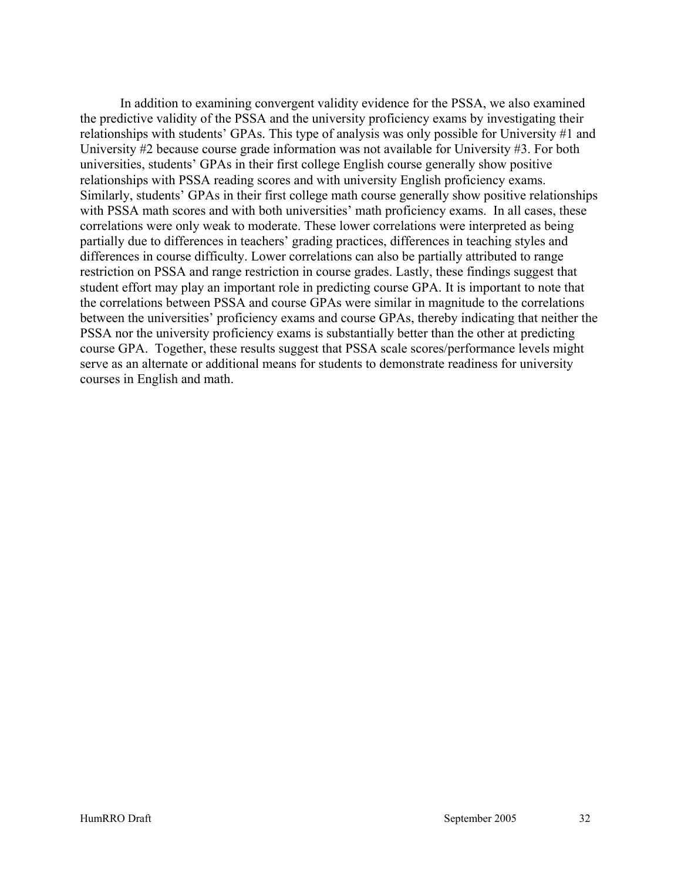In addition to examining convergent validity evidence for the PSSA, we also examined the predictive validity of the PSSA and the university proficiency exams by investigating their relationships with students' GPAs. This type of analysis was only possible for University #1 and University #2 because course grade information was not available for University #3. For both universities, students' GPAs in their first college English course generally show positive relationships with PSSA reading scores and with university English proficiency exams. Similarly, students' GPAs in their first college math course generally show positive relationships with PSSA math scores and with both universities' math proficiency exams. In all cases, these correlations were only weak to moderate. These lower correlations were interpreted as being partially due to differences in teachers' grading practices, differences in teaching styles and differences in course difficulty. Lower correlations can also be partially attributed to range restriction on PSSA and range restriction in course grades. Lastly, these findings suggest that student effort may play an important role in predicting course GPA. It is important to note that the correlations between PSSA and course GPAs were similar in magnitude to the correlations between the universities' proficiency exams and course GPAs, thereby indicating that neither the PSSA nor the university proficiency exams is substantially better than the other at predicting course GPA. Together, these results suggest that PSSA scale scores/performance levels might serve as an alternate or additional means for students to demonstrate readiness for university courses in English and math.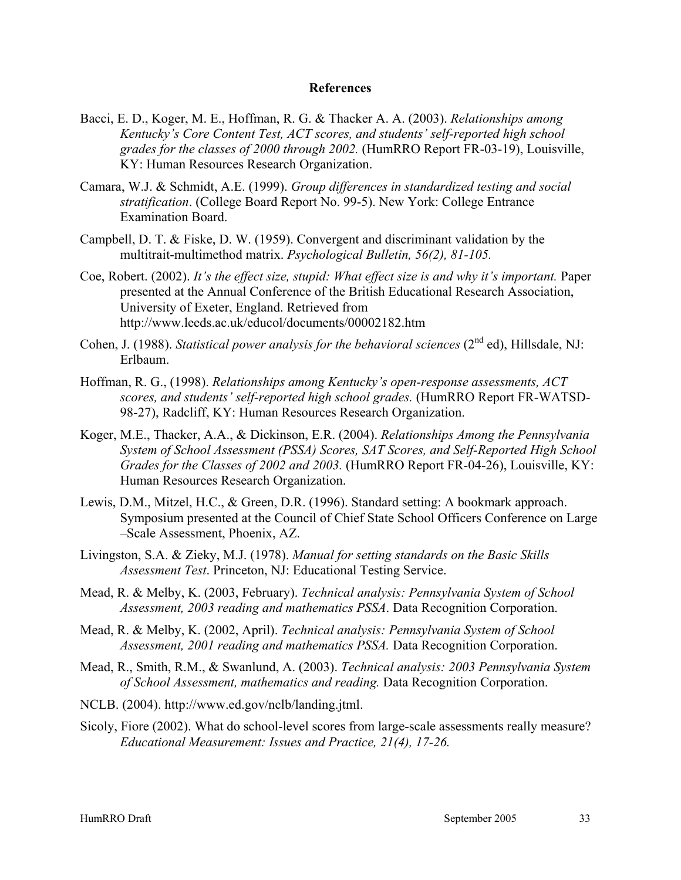#### **References**

- Bacci, E. D., Koger, M. E., Hoffman, R. G. & Thacker A. A. (2003). *Relationships among Kentucky's Core Content Test, ACT scores, and students' self-reported high school grades for the classes of 2000 through 2002.* (HumRRO Report FR-03-19), Louisville, KY: Human Resources Research Organization.
- Camara, W.J. & Schmidt, A.E. (1999). *Group differences in standardized testing and social stratification*. (College Board Report No. 99-5). New York: College Entrance Examination Board.
- Campbell, D. T. & Fiske, D. W. (1959). Convergent and discriminant validation by the multitrait-multimethod matrix. *Psychological Bulletin, 56(2), 81-105.*
- Coe, Robert. (2002). *It's the effect size, stupid: What effect size is and why it's important.* Paper presented at the Annual Conference of the British Educational Research Association, University of Exeter, England. Retrieved from http://www.leeds.ac.uk/educol/documents/00002182.htm
- Cohen, J. (1988). *Statistical power analysis for the behavioral sciences* (2<sup>nd</sup> ed), Hillsdale, NJ: Erlbaum.
- Hoffman, R. G., (1998). *Relationships among Kentucky's open-response assessments, ACT scores, and students' self-reported high school grades.* (HumRRO Report FR-WATSD-98-27), Radcliff, KY: Human Resources Research Organization.
- Koger, M.E., Thacker, A.A., & Dickinson, E.R. (2004). *Relationships Among the Pennsylvania System of School Assessment (PSSA) Scores, SAT Scores, and Self-Reported High School Grades for the Classes of 2002 and 2003.* (HumRRO Report FR-04-26), Louisville, KY: Human Resources Research Organization.
- Lewis, D.M., Mitzel, H.C., & Green, D.R. (1996). Standard setting: A bookmark approach. Symposium presented at the Council of Chief State School Officers Conference on Large –Scale Assessment, Phoenix, AZ.
- Livingston, S.A. & Zieky, M.J. (1978). *Manual for setting standards on the Basic Skills Assessment Test*. Princeton, NJ: Educational Testing Service.
- Mead, R. & Melby, K. (2003, February). *Technical analysis: Pennsylvania System of School Assessment, 2003 reading and mathematics PSSA*. Data Recognition Corporation.
- Mead, R. & Melby, K. (2002, April). *Technical analysis: Pennsylvania System of School Assessment, 2001 reading and mathematics PSSA.* Data Recognition Corporation.
- Mead, R., Smith, R.M., & Swanlund, A. (2003). *Technical analysis: 2003 Pennsylvania System of School Assessment, mathematics and reading.* Data Recognition Corporation.
- NCLB. (2004). http://www.ed.gov/nclb/landing.jtml.
- Sicoly, Fiore (2002). What do school-level scores from large-scale assessments really measure? *Educational Measurement: Issues and Practice, 21(4), 17-26.*